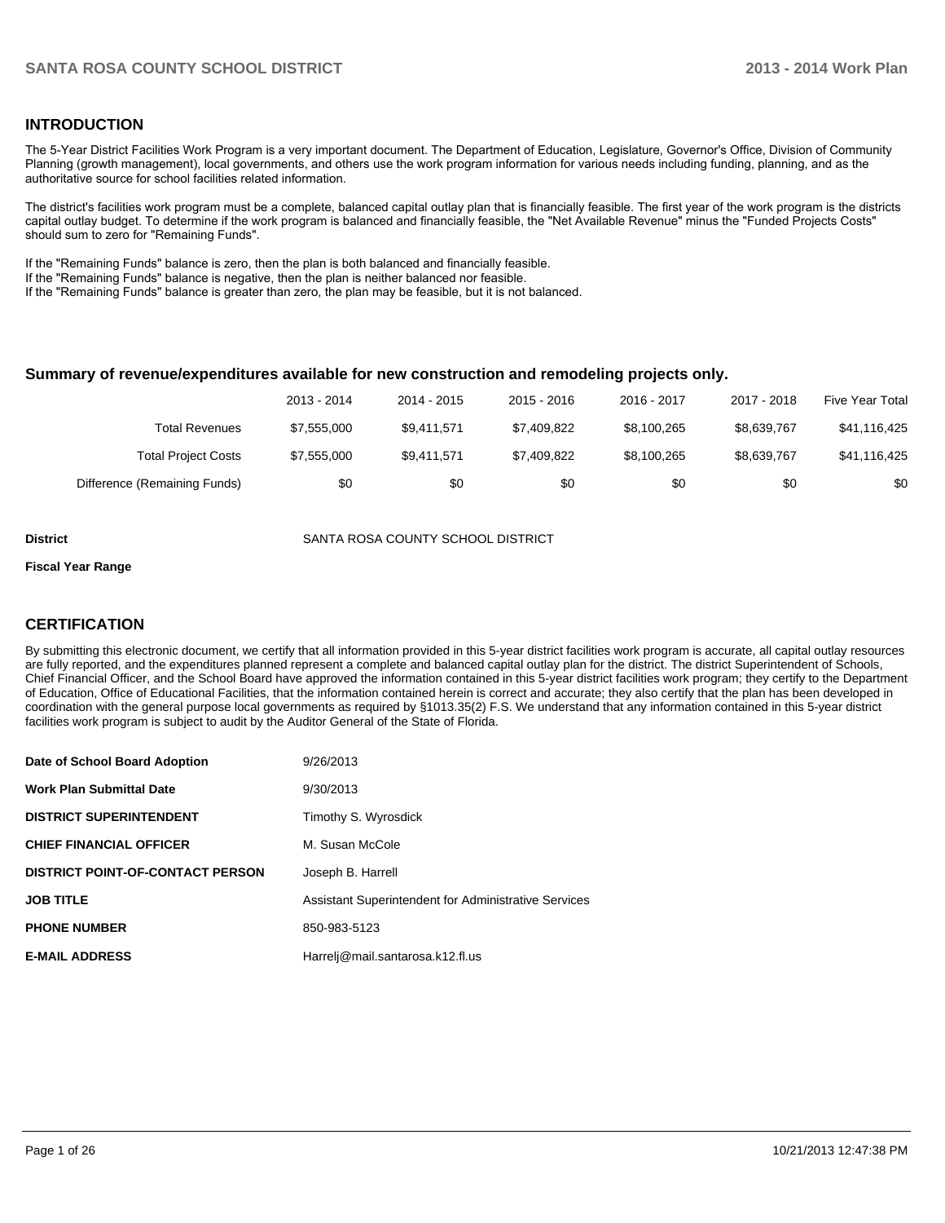#### **INTRODUCTION**

The 5-Year District Facilities Work Program is a very important document. The Department of Education, Legislature, Governor's Office, Division of Community Planning (growth management), local governments, and others use the work program information for various needs including funding, planning, and as the authoritative source for school facilities related information.

The district's facilities work program must be a complete, balanced capital outlay plan that is financially feasible. The first year of the work program is the districts capital outlay budget. To determine if the work program is balanced and financially feasible, the "Net Available Revenue" minus the "Funded Projects Costs" should sum to zero for "Remaining Funds".

If the "Remaining Funds" balance is zero, then the plan is both balanced and financially feasible.

If the "Remaining Funds" balance is negative, then the plan is neither balanced nor feasible.

If the "Remaining Funds" balance is greater than zero, the plan may be feasible, but it is not balanced.

#### **Summary of revenue/expenditures available for new construction and remodeling projects only.**

|                              | 2013 - 2014 | 2014 - 2015 | $2015 - 2016$ | 2016 - 2017 | 2017 - 2018 | Five Year Total |
|------------------------------|-------------|-------------|---------------|-------------|-------------|-----------------|
| Total Revenues               | \$7.555.000 | \$9.411.571 | \$7,409,822   | \$8.100.265 | \$8.639.767 | \$41,116,425    |
| <b>Total Project Costs</b>   | \$7,555,000 | \$9.411.571 | \$7,409,822   | \$8.100.265 | \$8,639,767 | \$41,116,425    |
| Difference (Remaining Funds) | \$0         | \$0         | \$0           | \$0         | \$0         | \$0             |

**District** SANTA ROSA COUNTY SCHOOL DISTRICT

#### **Fiscal Year Range**

### **CERTIFICATION**

By submitting this electronic document, we certify that all information provided in this 5-year district facilities work program is accurate, all capital outlay resources are fully reported, and the expenditures planned represent a complete and balanced capital outlay plan for the district. The district Superintendent of Schools, Chief Financial Officer, and the School Board have approved the information contained in this 5-year district facilities work program; they certify to the Department of Education, Office of Educational Facilities, that the information contained herein is correct and accurate; they also certify that the plan has been developed in coordination with the general purpose local governments as required by §1013.35(2) F.S. We understand that any information contained in this 5-year district facilities work program is subject to audit by the Auditor General of the State of Florida.

| Date of School Board Adoption           | 9/26/2013                                            |
|-----------------------------------------|------------------------------------------------------|
| <b>Work Plan Submittal Date</b>         | 9/30/2013                                            |
| <b>DISTRICT SUPERINTENDENT</b>          | Timothy S. Wyrosdick                                 |
| <b>CHIEF FINANCIAL OFFICER</b>          | M. Susan McCole                                      |
| <b>DISTRICT POINT-OF-CONTACT PERSON</b> | Joseph B. Harrell                                    |
| <b>JOB TITLE</b>                        | Assistant Superintendent for Administrative Services |
| <b>PHONE NUMBER</b>                     | 850-983-5123                                         |
| <b>E-MAIL ADDRESS</b>                   | Harrelj@mail.santarosa.k12.fl.us                     |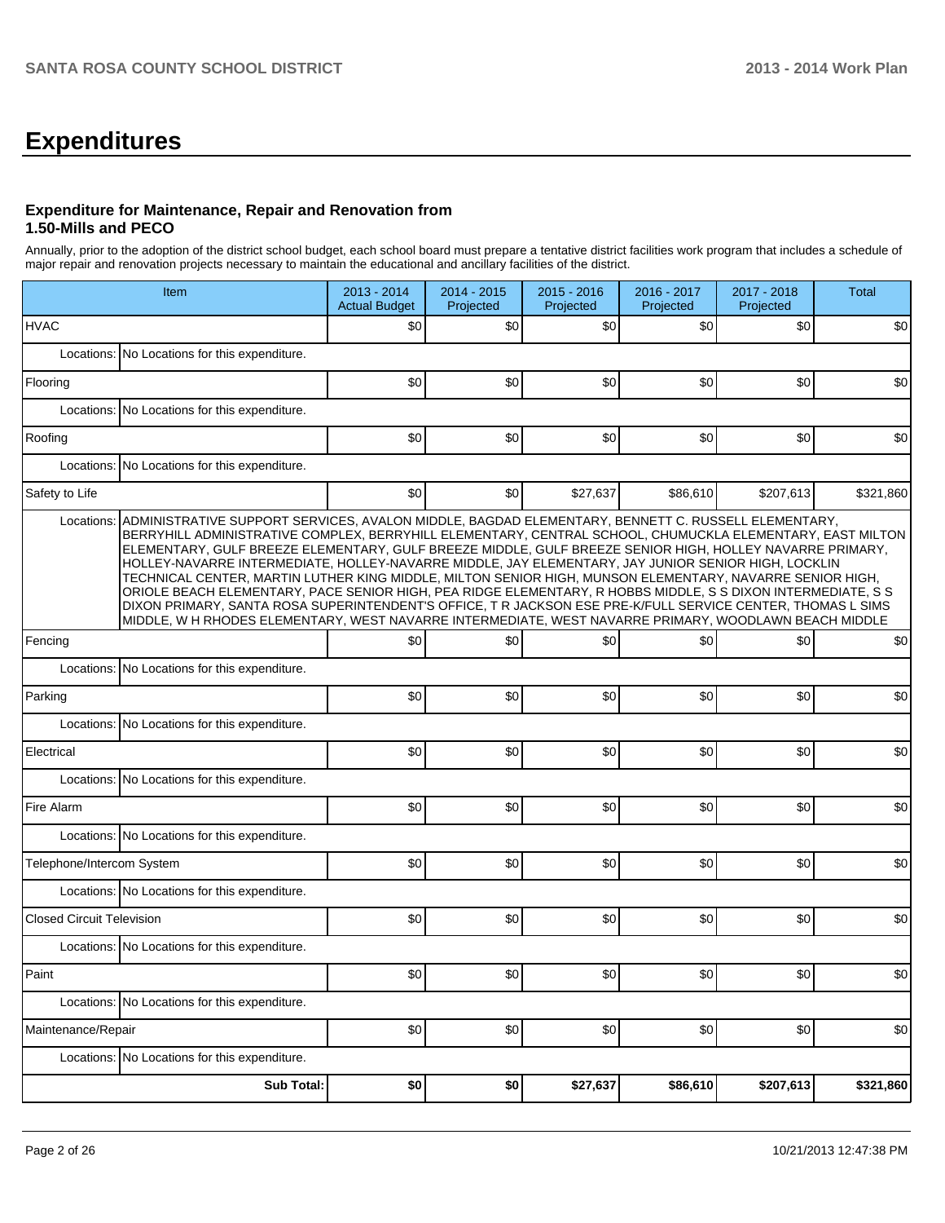## **Expenditures**

### **Expenditure for Maintenance, Repair and Renovation from 1.50-Mills and PECO**

Annually, prior to the adoption of the district school budget, each school board must prepare a tentative district facilities work program that includes a schedule of major repair and renovation projects necessary to maintain the educational and ancillary facilities of the district.

| Item                                                                                                                                                                                                                                                                                                                                                                                                                                                                                                                                                                                                                                                                                                                                                                                                                                                                                                | 2013 - 2014<br><b>Actual Budget</b> | $2014 - 2015$<br>Projected | 2015 - 2016<br>Projected | 2016 - 2017<br>Projected | 2017 - 2018<br>Projected | <b>Total</b> |
|-----------------------------------------------------------------------------------------------------------------------------------------------------------------------------------------------------------------------------------------------------------------------------------------------------------------------------------------------------------------------------------------------------------------------------------------------------------------------------------------------------------------------------------------------------------------------------------------------------------------------------------------------------------------------------------------------------------------------------------------------------------------------------------------------------------------------------------------------------------------------------------------------------|-------------------------------------|----------------------------|--------------------------|--------------------------|--------------------------|--------------|
| <b>HVAC</b>                                                                                                                                                                                                                                                                                                                                                                                                                                                                                                                                                                                                                                                                                                                                                                                                                                                                                         | \$0                                 | \$0                        | \$0                      | \$0                      | \$0                      | \$0          |
| No Locations for this expenditure.<br>Locations:                                                                                                                                                                                                                                                                                                                                                                                                                                                                                                                                                                                                                                                                                                                                                                                                                                                    |                                     |                            |                          |                          |                          |              |
| Flooring                                                                                                                                                                                                                                                                                                                                                                                                                                                                                                                                                                                                                                                                                                                                                                                                                                                                                            | \$0                                 | \$0                        | \$0                      | \$0                      | \$0                      | \$0          |
| No Locations for this expenditure.<br>Locations:                                                                                                                                                                                                                                                                                                                                                                                                                                                                                                                                                                                                                                                                                                                                                                                                                                                    |                                     |                            |                          |                          |                          |              |
| Roofing                                                                                                                                                                                                                                                                                                                                                                                                                                                                                                                                                                                                                                                                                                                                                                                                                                                                                             | \$0                                 | \$0                        | \$0                      | \$0                      | \$0                      | \$0          |
| Locations:<br>No Locations for this expenditure.                                                                                                                                                                                                                                                                                                                                                                                                                                                                                                                                                                                                                                                                                                                                                                                                                                                    |                                     |                            |                          |                          |                          |              |
| Safety to Life                                                                                                                                                                                                                                                                                                                                                                                                                                                                                                                                                                                                                                                                                                                                                                                                                                                                                      | \$0                                 | \$0                        | \$27,637                 | \$86,610                 | \$207,613                | \$321,860    |
| Locations:<br>ADMINISTRATIVE SUPPORT SERVICES, AVALON MIDDLE, BAGDAD ELEMENTARY, BENNETT C. RUSSELL ELEMENTARY,<br>BERRYHILL ADMINISTRATIVE COMPLEX, BERRYHILL ELEMENTARY, CENTRAL SCHOOL, CHUMUCKLA ELEMENTARY, EAST MILTON<br>ELEMENTARY, GULF BREEZE ELEMENTARY, GULF BREEZE MIDDLE, GULF BREEZE SENIOR HIGH, HOLLEY NAVARRE PRIMARY,<br>HOLLEY-NAVARRE INTERMEDIATE, HOLLEY-NAVARRE MIDDLE, JAY ELEMENTARY, JAY JUNIOR SENIOR HIGH, LOCKLIN<br>TECHNICAL CENTER, MARTIN LUTHER KING MIDDLE, MILTON SENIOR HIGH, MUNSON ELEMENTARY, NAVARRE SENIOR HIGH,<br>ORIOLE BEACH ELEMENTARY, PACE SENIOR HIGH, PEA RIDGE ELEMENTARY, R HOBBS MIDDLE, S S DIXON INTERMEDIATE, S S<br>DIXON PRIMARY, SANTA ROSA SUPERINTENDENT'S OFFICE, T R JACKSON ESE PRE-K/FULL SERVICE CENTER, THOMAS L SIMS<br>MIDDLE, W H RHODES ELEMENTARY, WEST NAVARRE INTERMEDIATE, WEST NAVARRE PRIMARY, WOODLAWN BEACH MIDDLE |                                     |                            |                          |                          |                          |              |
| Fencing                                                                                                                                                                                                                                                                                                                                                                                                                                                                                                                                                                                                                                                                                                                                                                                                                                                                                             | \$0                                 | \$0                        | \$0                      | \$0                      | \$0                      | \$0          |
| Locations: No Locations for this expenditure.                                                                                                                                                                                                                                                                                                                                                                                                                                                                                                                                                                                                                                                                                                                                                                                                                                                       |                                     |                            |                          |                          |                          |              |
| Parking                                                                                                                                                                                                                                                                                                                                                                                                                                                                                                                                                                                                                                                                                                                                                                                                                                                                                             | \$0                                 | \$0                        | \$0                      | \$0                      | \$0                      | \$0          |
| Locations:<br>No Locations for this expenditure.                                                                                                                                                                                                                                                                                                                                                                                                                                                                                                                                                                                                                                                                                                                                                                                                                                                    |                                     |                            |                          |                          |                          |              |
| Electrical                                                                                                                                                                                                                                                                                                                                                                                                                                                                                                                                                                                                                                                                                                                                                                                                                                                                                          | \$0                                 | \$0                        | \$0                      | \$0                      | \$0                      | \$0          |
| Locations: No Locations for this expenditure.                                                                                                                                                                                                                                                                                                                                                                                                                                                                                                                                                                                                                                                                                                                                                                                                                                                       |                                     |                            |                          |                          |                          |              |
| Fire Alarm                                                                                                                                                                                                                                                                                                                                                                                                                                                                                                                                                                                                                                                                                                                                                                                                                                                                                          | \$0                                 | \$0                        | \$0                      | \$0                      | \$0                      | \$0          |
| Locations: No Locations for this expenditure.                                                                                                                                                                                                                                                                                                                                                                                                                                                                                                                                                                                                                                                                                                                                                                                                                                                       |                                     |                            |                          |                          |                          |              |
| Telephone/Intercom System                                                                                                                                                                                                                                                                                                                                                                                                                                                                                                                                                                                                                                                                                                                                                                                                                                                                           | \$0                                 | \$0                        | \$0                      | \$0                      | \$0                      | \$0          |
| Locations: No Locations for this expenditure.                                                                                                                                                                                                                                                                                                                                                                                                                                                                                                                                                                                                                                                                                                                                                                                                                                                       |                                     |                            |                          |                          |                          |              |
| <b>Closed Circuit Television</b>                                                                                                                                                                                                                                                                                                                                                                                                                                                                                                                                                                                                                                                                                                                                                                                                                                                                    | \$0                                 | \$0                        | \$0                      | \$0                      | \$0                      | \$0          |
| Locations: No Locations for this expenditure.                                                                                                                                                                                                                                                                                                                                                                                                                                                                                                                                                                                                                                                                                                                                                                                                                                                       |                                     |                            |                          |                          |                          |              |
| Paint                                                                                                                                                                                                                                                                                                                                                                                                                                                                                                                                                                                                                                                                                                                                                                                                                                                                                               | \$0                                 | \$0                        | \$0]                     | \$0                      | \$0                      | \$0          |
| Locations: No Locations for this expenditure.                                                                                                                                                                                                                                                                                                                                                                                                                                                                                                                                                                                                                                                                                                                                                                                                                                                       |                                     |                            |                          |                          |                          |              |
| Maintenance/Repair                                                                                                                                                                                                                                                                                                                                                                                                                                                                                                                                                                                                                                                                                                                                                                                                                                                                                  | \$0                                 | \$0                        | \$0                      | \$0]                     | \$0                      | \$0          |
| Locations: No Locations for this expenditure.                                                                                                                                                                                                                                                                                                                                                                                                                                                                                                                                                                                                                                                                                                                                                                                                                                                       |                                     |                            |                          |                          |                          |              |
| Sub Total:                                                                                                                                                                                                                                                                                                                                                                                                                                                                                                                                                                                                                                                                                                                                                                                                                                                                                          | \$0                                 | \$0                        | \$27,637                 | \$86,610                 | \$207,613                | \$321,860    |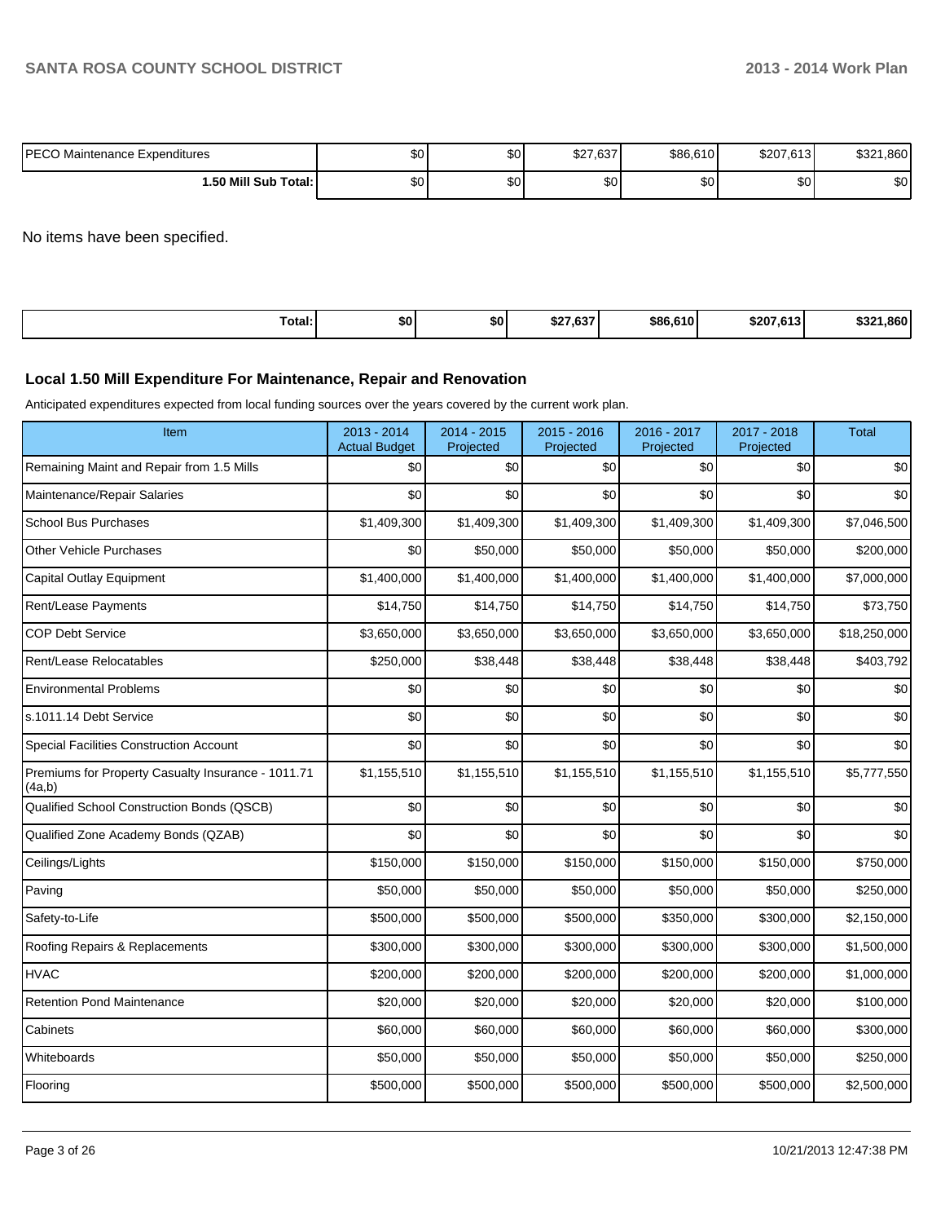| IPECO Maintenance Expenditures | ሖ<br>υu | $\sim$<br>ພບ | 02702<br>≀دە. <i>،</i> ∠م | \$86,610  | \$207.613 | .860<br>ሶገባላ<br>ے⊂ت |
|--------------------------------|---------|--------------|---------------------------|-----------|-----------|---------------------|
| 1.50 Mill Sub Total: İ         | ພບ      | $\sim$<br>ພບ | $\sim$<br>υU              | ሶስ<br>ູບບ | ድስ.<br>ΦU | ድሰ<br>ΦU            |

No items have been specified.

| Total: | \$0 | \$0 | 0.2202<br>∍د ه. ،<br>æ | \$86,610 | \$207<br>0.0121<br>ا 3 ا0 ا | .860<br>いっへ<br>.57 |
|--------|-----|-----|------------------------|----------|-----------------------------|--------------------|
|--------|-----|-----|------------------------|----------|-----------------------------|--------------------|

#### **Local 1.50 Mill Expenditure For Maintenance, Repair and Renovation**

Anticipated expenditures expected from local funding sources over the years covered by the current work plan.

| Item                                                         | 2013 - 2014<br><b>Actual Budget</b> | 2014 - 2015<br>Projected | 2015 - 2016<br>Projected | 2016 - 2017<br>Projected | 2017 - 2018<br>Projected | <b>Total</b> |
|--------------------------------------------------------------|-------------------------------------|--------------------------|--------------------------|--------------------------|--------------------------|--------------|
| Remaining Maint and Repair from 1.5 Mills                    | \$0                                 | \$0                      | \$0                      | \$0                      | \$0                      | \$0          |
| Maintenance/Repair Salaries                                  | \$0                                 | \$0                      | \$0                      | \$0                      | \$0                      | \$0          |
| <b>School Bus Purchases</b>                                  | \$1,409,300                         | \$1,409,300              | \$1,409,300              | \$1,409,300              | \$1,409,300              | \$7,046,500  |
| <b>Other Vehicle Purchases</b>                               | \$0                                 | \$50,000                 | \$50,000                 | \$50,000                 | \$50,000                 | \$200,000    |
| <b>Capital Outlay Equipment</b>                              | \$1,400,000                         | \$1,400,000              | \$1,400,000              | \$1,400,000              | \$1,400,000              | \$7,000,000  |
| Rent/Lease Payments                                          | \$14,750                            | \$14,750                 | \$14,750                 | \$14,750                 | \$14,750                 | \$73,750     |
| <b>COP Debt Service</b>                                      | \$3,650,000                         | \$3,650,000              | \$3,650,000              | \$3,650,000              | \$3,650,000              | \$18,250,000 |
| Rent/Lease Relocatables                                      | \$250,000                           | \$38,448                 | \$38,448                 | \$38,448                 | \$38,448                 | \$403,792    |
| <b>Environmental Problems</b>                                | \$0                                 | \$0                      | \$0                      | \$0                      | \$0                      | \$0          |
| s.1011.14 Debt Service                                       | \$0                                 | \$0                      | \$0                      | \$0                      | \$0                      | \$0          |
| <b>Special Facilities Construction Account</b>               | \$0                                 | \$0                      | \$0                      | \$0                      | \$0                      | \$0          |
| Premiums for Property Casualty Insurance - 1011.71<br>(4a,b) | \$1,155,510                         | \$1,155,510              | \$1,155,510              | \$1,155,510              | \$1,155,510              | \$5,777,550  |
| Qualified School Construction Bonds (QSCB)                   | \$0                                 | \$0                      | \$0                      | \$0                      | \$0                      | \$0          |
| Qualified Zone Academy Bonds (QZAB)                          | \$0                                 | \$0                      | \$0                      | \$0                      | \$0                      | \$0          |
| Ceilings/Lights                                              | \$150,000                           | \$150,000                | \$150,000                | \$150,000                | \$150,000                | \$750,000    |
| Paving                                                       | \$50,000                            | \$50,000                 | \$50,000                 | \$50,000                 | \$50,000                 | \$250,000    |
| Safety-to-Life                                               | \$500,000                           | \$500,000                | \$500,000                | \$350,000                | \$300,000                | \$2,150,000  |
| Roofing Repairs & Replacements                               | \$300,000                           | \$300,000                | \$300,000                | \$300,000                | \$300,000                | \$1,500,000  |
| <b>HVAC</b>                                                  | \$200,000                           | \$200,000                | \$200,000                | \$200,000                | \$200,000                | \$1,000,000  |
| <b>Retention Pond Maintenance</b>                            | \$20,000                            | \$20,000                 | \$20,000                 | \$20,000                 | \$20,000                 | \$100,000    |
| Cabinets                                                     | \$60,000                            | \$60,000                 | \$60,000                 | \$60,000                 | \$60,000                 | \$300,000    |
| Whiteboards                                                  | \$50,000                            | \$50,000                 | \$50,000                 | \$50,000                 | \$50,000                 | \$250,000    |
| Flooring                                                     | \$500,000                           | \$500,000                | \$500,000                | \$500,000                | \$500,000                | \$2,500,000  |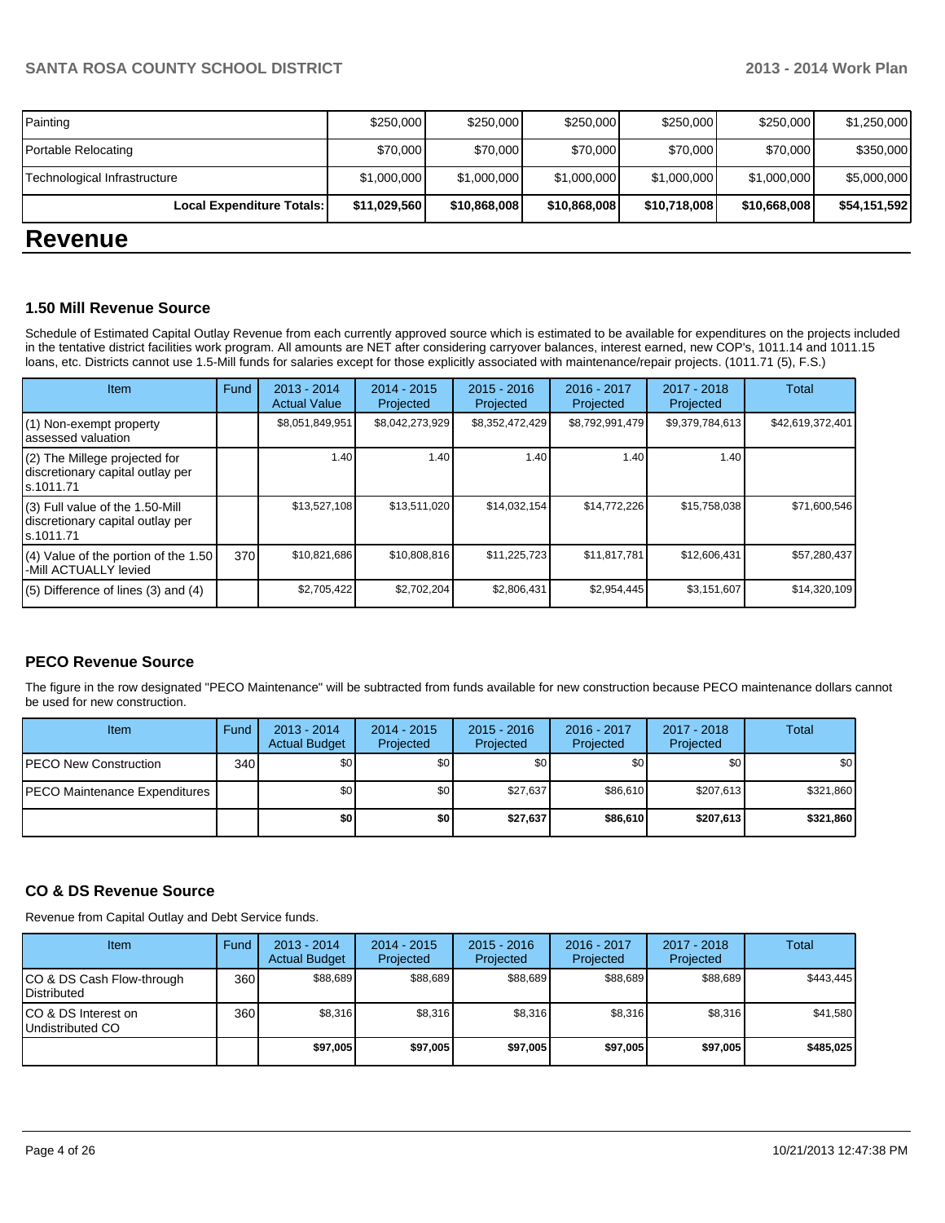| Local Expenditure Totals:    | \$11,029,560 | \$10,868,008 | \$10,868,008 | \$10,718,008 | \$10,668,008 | \$54,151,592 |
|------------------------------|--------------|--------------|--------------|--------------|--------------|--------------|
| Technological Infrastructure | \$1,000,000  | \$1,000,000  | \$1,000,000  | \$1,000,000  | \$1,000,000  | \$5,000,000  |
| Portable Relocating          | \$70,000     | \$70,000     | \$70,000     | \$70,000     | \$70,000     | \$350,000    |
| Painting                     | \$250,000    | \$250,000    | \$250,000    | \$250,000    | \$250,000    | \$1,250,000  |

## **Revenue**

#### **1.50 Mill Revenue Source**

Schedule of Estimated Capital Outlay Revenue from each currently approved source which is estimated to be available for expenditures on the projects included in the tentative district facilities work program. All amounts are NET after considering carryover balances, interest earned, new COP's, 1011.14 and 1011.15 loans, etc. Districts cannot use 1.5-Mill funds for salaries except for those explicitly associated with maintenance/repair projects. (1011.71 (5), F.S.)

| Item                                                                              | Fund | $2013 - 2014$<br><b>Actual Value</b> | $2014 - 2015$<br>Projected | $2015 - 2016$<br>Projected | 2016 - 2017<br>Projected | $2017 - 2018$<br>Projected | Total            |
|-----------------------------------------------------------------------------------|------|--------------------------------------|----------------------------|----------------------------|--------------------------|----------------------------|------------------|
| (1) Non-exempt property<br>assessed valuation                                     |      | \$8,051,849,951                      | \$8,042,273,929            | \$8,352,472,429            | \$8,792,991,479          | \$9,379,784,613            | \$42,619,372,401 |
| (2) The Millege projected for<br>discretionary capital outlay per<br>ls.1011.71   |      | 1.40                                 | 1.40                       | 1.40                       | 1.40                     | 1.40                       |                  |
| (3) Full value of the 1.50-Mill<br>discretionary capital outlay per<br>ls.1011.71 |      | \$13,527,108                         | \$13,511,020               | \$14,032,154               | \$14,772,226             | \$15,758,038               | \$71,600,546     |
| $(4)$ Value of the portion of the 1.50<br>-Mill ACTUALLY levied                   | 370  | \$10,821,686                         | \$10,808,816               | \$11,225,723               | \$11,817,781             | \$12,606,431               | \$57,280,437     |
| $(5)$ Difference of lines $(3)$ and $(4)$                                         |      | \$2,705,422                          | \$2,702,204                | \$2,806,431                | \$2,954,445              | \$3,151,607                | \$14,320,109     |

#### **PECO Revenue Source**

The figure in the row designated "PECO Maintenance" will be subtracted from funds available for new construction because PECO maintenance dollars cannot be used for new construction.

| Item                          | Fund | $2013 - 2014$<br><b>Actual Budget</b> | $2014 - 2015$<br>Projected | $2015 - 2016$<br>Projected | 2016 - 2017<br>Projected | 2017 - 2018<br>Projected | Total     |
|-------------------------------|------|---------------------------------------|----------------------------|----------------------------|--------------------------|--------------------------|-----------|
| IPECO New Construction        | 340  | \$0 <sub>l</sub>                      | \$0                        | \$0                        | \$0 I                    | \$0                      | \$0       |
| PECO Maintenance Expenditures |      | \$0 <sub>1</sub>                      | \$0 <sub>1</sub>           | \$27.637                   | \$86,610                 | \$207.613                | \$321,860 |
|                               |      | \$0                                   | \$0                        | \$27,637                   | \$86,610                 | \$207,613                | \$321,860 |

#### **CO & DS Revenue Source**

Revenue from Capital Outlay and Debt Service funds.

| <b>Item</b>                                      | Fund | $2013 - 2014$<br><b>Actual Budget</b> | $2014 - 2015$<br>Projected | $2015 - 2016$<br>Projected | $2016 - 2017$<br>Projected | $2017 - 2018$<br>Projected | Total     |
|--------------------------------------------------|------|---------------------------------------|----------------------------|----------------------------|----------------------------|----------------------------|-----------|
| ICO & DS Cash Flow-through<br><b>Distributed</b> | 360  | \$88.689                              | \$88,689                   | \$88.689                   | \$88,689                   | \$88,689                   | \$443.445 |
| ICO & DS Interest on<br>Undistributed CO         | 360  | \$8,316                               | \$8,316                    | \$8,316                    | \$8.316                    | \$8,316                    | \$41,580  |
|                                                  |      | \$97,005                              | \$97,005                   | \$97.005                   | \$97,005                   | \$97,005                   | \$485,025 |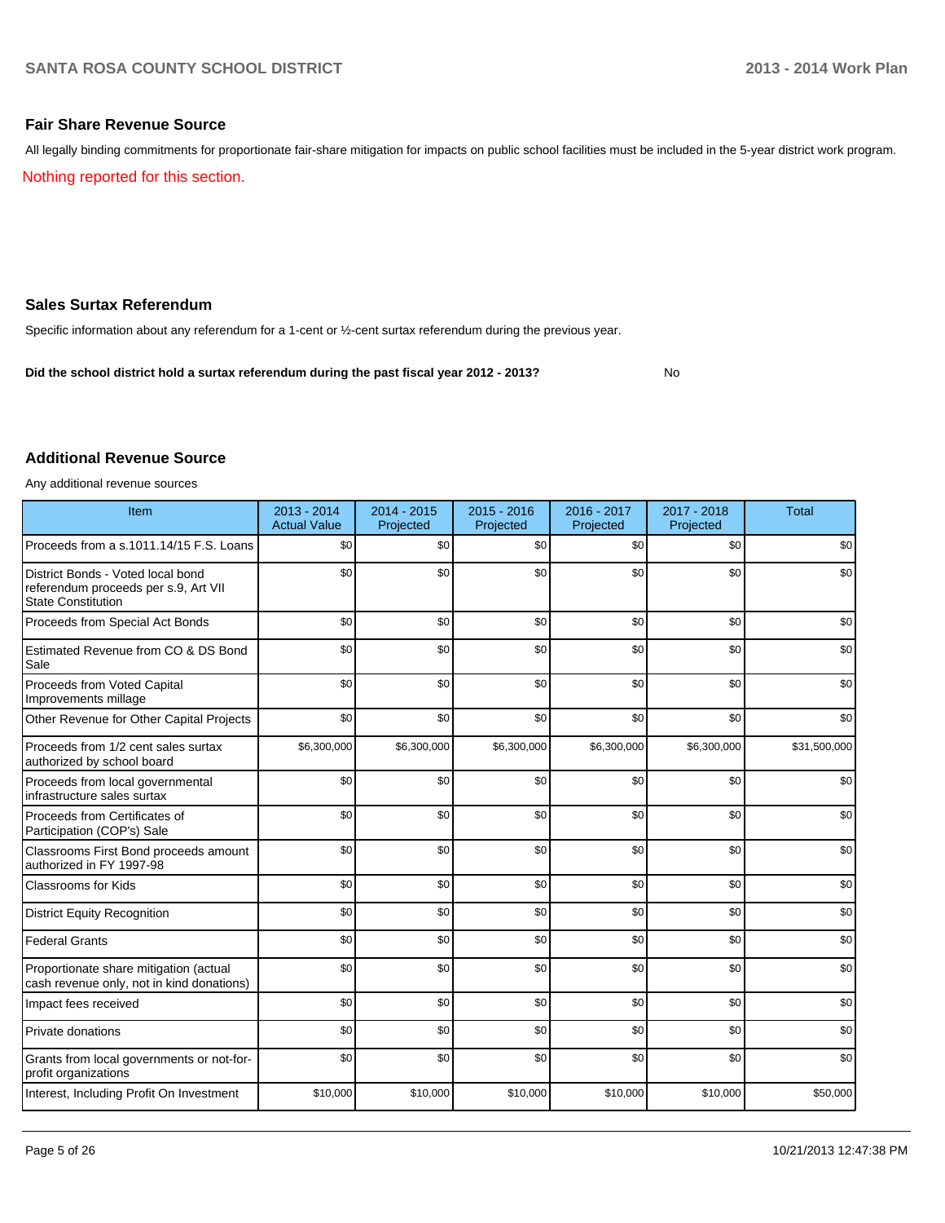No

#### **Fair Share Revenue Source**

Nothing reported for this section. All legally binding commitments for proportionate fair-share mitigation for impacts on public school facilities must be included in the 5-year district work program.

**Sales Surtax Referendum**

Specific information about any referendum for a 1-cent or ½-cent surtax referendum during the previous year.

**Did the school district hold a surtax referendum during the past fiscal year 2012 - 2013?**

## **Additional Revenue Source**

Any additional revenue sources

| Item                                                                                                   | 2013 - 2014<br><b>Actual Value</b> | $2014 - 2015$<br>Projected | 2015 - 2016<br>Projected | 2016 - 2017<br>Projected | 2017 - 2018<br>Projected | <b>Total</b> |
|--------------------------------------------------------------------------------------------------------|------------------------------------|----------------------------|--------------------------|--------------------------|--------------------------|--------------|
| Proceeds from a s.1011.14/15 F.S. Loans                                                                | \$0                                | \$0                        | \$0                      | \$0                      | \$0                      | \$0          |
| District Bonds - Voted local bond<br>referendum proceeds per s.9, Art VII<br><b>State Constitution</b> | \$0                                | \$0                        | \$0                      | \$0                      | \$0                      | \$0          |
| Proceeds from Special Act Bonds                                                                        | \$0                                | \$0                        | \$0                      | \$0                      | \$0                      | \$0          |
| Estimated Revenue from CO & DS Bond<br>Sale                                                            | \$0                                | \$0                        | \$0                      | \$0                      | \$0                      | \$0          |
| Proceeds from Voted Capital<br>Improvements millage                                                    | \$0                                | \$0                        | \$0                      | \$0                      | \$0                      | \$0          |
| Other Revenue for Other Capital Projects                                                               | \$0                                | \$0                        | \$0                      | \$0                      | \$0                      | \$0          |
| Proceeds from 1/2 cent sales surtax<br>authorized by school board                                      | \$6,300,000                        | \$6,300,000                | \$6,300,000              | \$6,300,000              | \$6,300,000              | \$31,500,000 |
| Proceeds from local governmental<br>infrastructure sales surtax                                        | \$0                                | \$0                        | \$0                      | \$0                      | \$0                      | \$0          |
| Proceeds from Certificates of<br>Participation (COP's) Sale                                            | \$0                                | \$0                        | \$0                      | \$0                      | \$0                      | \$0          |
| Classrooms First Bond proceeds amount<br>authorized in FY 1997-98                                      | \$0                                | \$0                        | \$0                      | \$0                      | \$0                      | \$0          |
| Classrooms for Kids                                                                                    | \$0                                | \$0                        | \$0                      | \$0                      | \$0                      | \$0          |
| <b>District Equity Recognition</b>                                                                     | \$0                                | \$0                        | \$0                      | \$0                      | \$0                      | \$0          |
| <b>Federal Grants</b>                                                                                  | \$0                                | \$0                        | \$0                      | \$0                      | \$0                      | \$0          |
| Proportionate share mitigation (actual<br>cash revenue only, not in kind donations)                    | \$0                                | \$0                        | \$0                      | \$0                      | \$0                      | \$0          |
| Impact fees received                                                                                   | \$0                                | \$0                        | \$0                      | \$0                      | \$0                      | \$0          |
| Private donations                                                                                      | \$0                                | \$0                        | \$0                      | \$0                      | \$0                      | \$0          |
| Grants from local governments or not-for-<br>profit organizations                                      | \$0                                | \$0                        | \$0                      | \$0                      | \$0                      | \$0          |
| Interest, Including Profit On Investment                                                               | \$10,000                           | \$10,000                   | \$10,000                 | \$10,000                 | \$10,000                 | \$50,000     |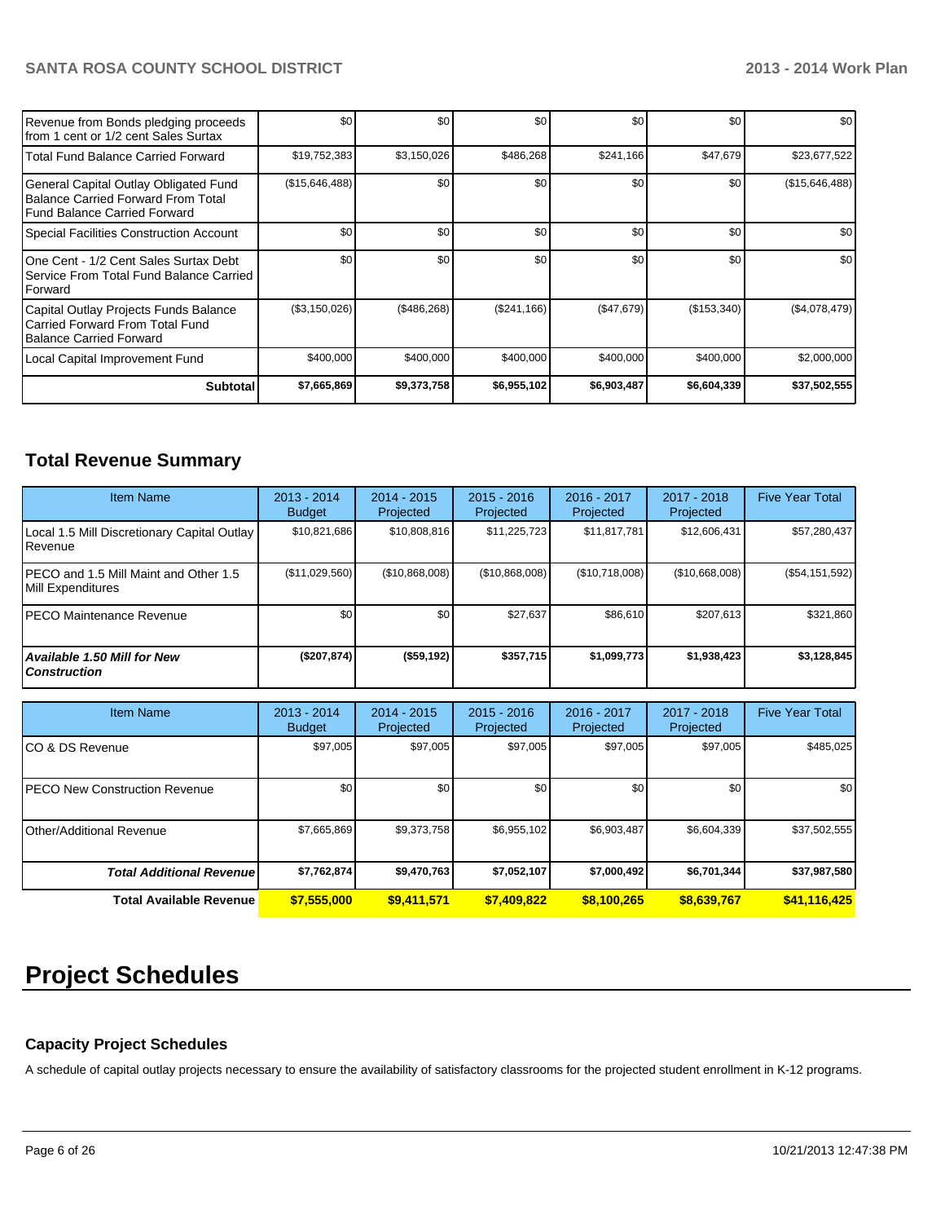| Revenue from Bonds pledging proceeds<br>from 1 cent or 1/2 cent Sales Surtax                                  | \$0            | \$0         | \$0         | \$0              | \$0         | \$0            |
|---------------------------------------------------------------------------------------------------------------|----------------|-------------|-------------|------------------|-------------|----------------|
| Total Fund Balance Carried Forward                                                                            | \$19,752,383   | \$3,150,026 | \$486,268   | \$241,166        | \$47,679    | \$23,677,522   |
| General Capital Outlay Obligated Fund<br>Balance Carried Forward From Total<br>l Fund Balance Carried Forward | (\$15,646,488) | \$0         | \$0         | \$0              | \$0         | (\$15,646,488) |
| Special Facilities Construction Account                                                                       | \$0            | \$0         | \$0         | \$0              | \$0         | \$0            |
| One Cent - 1/2 Cent Sales Surtax Debt<br>Service From Total Fund Balance Carried<br>Forward                   | \$0            | \$0         | \$0         | \$0 <sub>1</sub> | \$0         | \$0            |
| Capital Outlay Projects Funds Balance<br>Carried Forward From Total Fund<br>Balance Carried Forward           | (\$3,150,026)  | (\$486,268) | (\$241,166) | (\$47,679)       | (\$153,340) | (\$4,078,479)  |
| Local Capital Improvement Fund                                                                                | \$400,000      | \$400,000   | \$400,000   | \$400,000        | \$400,000   | \$2,000,000    |
| <b>Subtotal</b>                                                                                               | \$7,665,869    | \$9,373,758 | \$6,955,102 | \$6,903,487      | \$6,604,339 | \$37,502,555   |

## **Total Revenue Summary**

| <b>Item Name</b>                                            | $2013 - 2014$<br><b>Budget</b> | $2014 - 2015$<br>Projected | $2015 - 2016$<br>Projected | 2016 - 2017<br>Projected | $2017 - 2018$<br>Projected | <b>Five Year Total</b> |
|-------------------------------------------------------------|--------------------------------|----------------------------|----------------------------|--------------------------|----------------------------|------------------------|
| Local 1.5 Mill Discretionary Capital Outlay<br>Revenue      | \$10,821,686                   | \$10,808,816               | \$11,225,723               | \$11,817,781             | \$12,606,431               | \$57,280,437           |
| IPECO and 1.5 Mill Maint and Other 1.5<br>Mill Expenditures | (\$11,029,560)                 | (\$10,868,008)             | (\$10,868,008)             | (\$10,718,008)           | (\$10,668,008)             | (\$54,151,592)         |
| IPECO Maintenance Revenue                                   | \$0                            | \$0                        | \$27,637                   | \$86,610                 | \$207.613                  | \$321,860              |
| Available 1.50 Mill for New l<br>l Construction             | (\$207,874)                    | $($ \$59,192)              | \$357,715                  | \$1,099,773              | \$1,938,423                | \$3,128,845            |

| <b>Item Name</b>                      | $2013 - 2014$<br><b>Budget</b> | $2014 - 2015$<br>Projected | $2015 - 2016$<br>Projected | $2016 - 2017$<br>Projected | $2017 - 2018$<br>Projected | <b>Five Year Total</b> |
|---------------------------------------|--------------------------------|----------------------------|----------------------------|----------------------------|----------------------------|------------------------|
| ICO & DS Revenue                      | \$97,005                       | \$97,005                   | \$97,005                   | \$97,005                   | \$97,005                   | \$485,025              |
| <b>IPECO New Construction Revenue</b> | \$0 <sub>1</sub>               | \$0                        | \$0                        | \$0                        | \$0                        | \$0                    |
| IOther/Additional Revenue             | \$7,665,869                    | \$9,373,758                | \$6,955,102                | \$6,903,487                | \$6,604,339                | \$37,502,555           |
| <b>Total Additional Revenuel</b>      | \$7,762,874                    | \$9,470,763                | \$7,052,107                | \$7,000,492                | \$6,701,344                | \$37,987,580           |
| <b>Total Available Revenue</b>        | \$7,555,000                    | \$9,411,571                | \$7,409,822                | \$8,100,265                | \$8,639,767                | \$41,116,425           |

# **Project Schedules**

## **Capacity Project Schedules**

A schedule of capital outlay projects necessary to ensure the availability of satisfactory classrooms for the projected student enrollment in K-12 programs.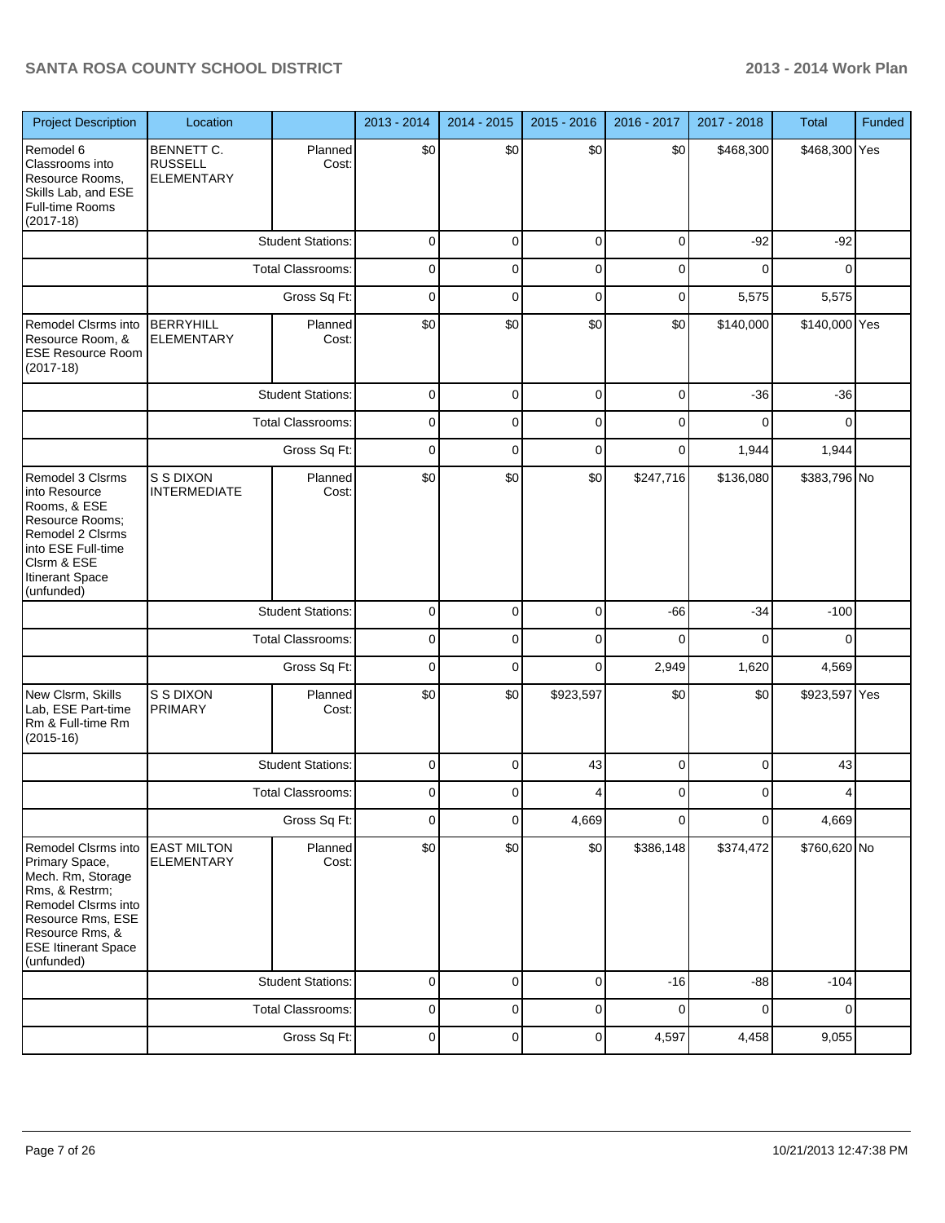| <b>Project Description</b>                                                                                                                                                              | Location                                          |                          | 2013 - 2014 | 2014 - 2015 | 2015 - 2016 | 2016 - 2017 | 2017 - 2018 | <b>Total</b>  | Funded |
|-----------------------------------------------------------------------------------------------------------------------------------------------------------------------------------------|---------------------------------------------------|--------------------------|-------------|-------------|-------------|-------------|-------------|---------------|--------|
| Remodel 6<br>Classrooms into<br>Resource Rooms,<br>Skills Lab, and ESE<br><b>Full-time Rooms</b><br>$(2017-18)$                                                                         | BENNETT C.<br><b>RUSSELL</b><br><b>ELEMENTARY</b> | Planned<br>Cost:         | \$0         | \$0         | \$0         | \$0         | \$468,300   | \$468,300 Yes |        |
|                                                                                                                                                                                         |                                                   | <b>Student Stations:</b> | $\mathbf 0$ | $\mathbf 0$ | $\mathbf 0$ | 0           | $-92$       | $-92$         |        |
|                                                                                                                                                                                         |                                                   | <b>Total Classrooms:</b> | 0           | 0           | $\mathbf 0$ | 0           | 0           | 0             |        |
|                                                                                                                                                                                         |                                                   | Gross Sq Ft:             | 0           | $\mathbf 0$ | $\mathbf 0$ | 0           | 5,575       | 5,575         |        |
| Remodel Clsrms into<br>Resource Room, &<br><b>ESE Resource Room</b><br>$(2017-18)$                                                                                                      | <b>BERRYHILL</b><br><b>ELEMENTARY</b>             | Planned<br>Cost:         | \$0         | \$0         | \$0         | \$0         | \$140,000   | \$140,000 Yes |        |
|                                                                                                                                                                                         |                                                   | <b>Student Stations:</b> | 0           | $\mathbf 0$ | $\mathbf 0$ | $\mathbf 0$ | $-36$       | $-36$         |        |
|                                                                                                                                                                                         |                                                   | <b>Total Classrooms:</b> | 0           | 0           | $\mathbf 0$ | 0           | $\Omega$    | $\Omega$      |        |
|                                                                                                                                                                                         |                                                   | Gross Sq Ft:             | $\mathbf 0$ | $\mathbf 0$ | $\mathbf 0$ | 0           | 1,944       | 1,944         |        |
| Remodel 3 Clsrms<br>into Resource<br>Rooms, & ESE<br>Resource Rooms;<br>Remodel 2 Clsrms<br>into ESE Full-time<br>Clsrm & ESE<br><b>Itinerant Space</b><br>(unfunded)                   | S S DIXON<br><b>INTERMEDIATE</b>                  | Planned<br>Cost:         | \$0         | \$0         | \$0         | \$247,716   | \$136,080   | \$383,796 No  |        |
|                                                                                                                                                                                         |                                                   | <b>Student Stations:</b> | $\mathbf 0$ | $\mathbf 0$ | $\mathbf 0$ | $-66$       | $-34$       | $-100$        |        |
|                                                                                                                                                                                         |                                                   | <b>Total Classrooms:</b> | $\mathbf 0$ | 0           | $\mathbf 0$ | $\Omega$    | 0           | 0             |        |
|                                                                                                                                                                                         |                                                   | Gross Sq Ft:             | $\mathbf 0$ | $\mathbf 0$ | $\mathbf 0$ | 2,949       | 1,620       | 4,569         |        |
| New Clsrm, Skills<br>Lab, ESE Part-time<br>Rm & Full-time Rm<br>$(2015-16)$                                                                                                             | S S DIXON<br><b>PRIMARY</b>                       | Planned<br>Cost:         | \$0         | \$0         | \$923,597   | \$0         | \$0         | \$923,597 Yes |        |
|                                                                                                                                                                                         |                                                   | <b>Student Stations:</b> | 0           | $\mathbf 0$ | 43          | 0           | 0           | 43            |        |
|                                                                                                                                                                                         |                                                   | Total Classrooms:        | 0           | 0           | 4           | 0           | 0           | 4             |        |
|                                                                                                                                                                                         |                                                   | Gross Sq Ft:             | $\mathbf 0$ | $\mathbf 0$ | 4,669       | $\mathbf 0$ | 0           | 4,669         |        |
| Remodel Clsrms into<br>Primary Space,<br>Mech. Rm, Storage<br>Rms, & Restrm;<br>Remodel Clsrms into<br>Resource Rms, ESE<br>Resource Rms, &<br><b>ESE Itinerant Space</b><br>(unfunded) | <b>EAST MILTON</b><br><b>ELEMENTARY</b>           | Planned<br>Cost:         | \$0         | \$0         | \$0         | \$386,148   | \$374,472   | \$760,620 No  |        |
|                                                                                                                                                                                         |                                                   | <b>Student Stations:</b> | $\mathbf 0$ | $\mathbf 0$ | $\mathbf 0$ | $-16$       | $-88$       | $-104$        |        |
|                                                                                                                                                                                         |                                                   | <b>Total Classrooms:</b> | $\pmb{0}$   | $\mathbf 0$ | $\mathbf 0$ | $\mathbf 0$ | 0           | 0             |        |
|                                                                                                                                                                                         |                                                   | Gross Sq Ft:             | $\mathbf 0$ | $\mathbf 0$ | $\mathbf 0$ | 4,597       | 4,458       | 9,055         |        |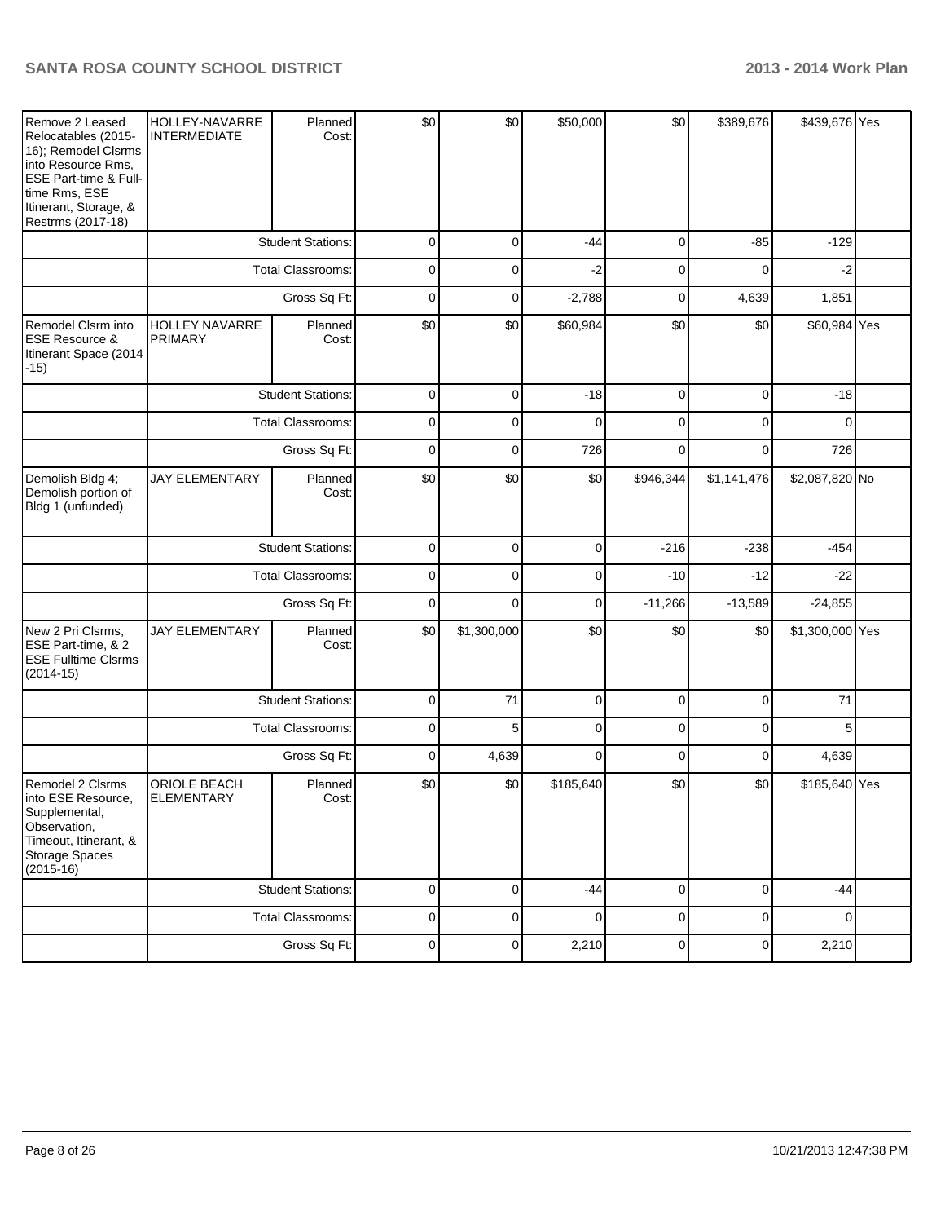| Remove 2 Leased<br>Relocatables (2015-<br>16); Remodel Clsrms<br>into Resource Rms,<br>ESE Part-time & Full-<br>time Rms, ESE<br>Itinerant, Storage, &<br>Restrms (2017-18) | HOLLEY-NAVARRE<br><b>INTERMEDIATE</b>   | Planned<br>Cost:         | \$0            | \$0]        | \$50,000    | \$0            | \$389,676   | \$439,676 Yes   |  |
|-----------------------------------------------------------------------------------------------------------------------------------------------------------------------------|-----------------------------------------|--------------------------|----------------|-------------|-------------|----------------|-------------|-----------------|--|
|                                                                                                                                                                             |                                         | <b>Student Stations:</b> | 0              | 0           | $-44$       | 0              | $-85$       | $-129$          |  |
|                                                                                                                                                                             |                                         | <b>Total Classrooms:</b> | $\mathbf 0$    | $\Omega$    | $-2$        | $\mathbf 0$    | $\Omega$    | $-2$            |  |
|                                                                                                                                                                             |                                         | Gross Sq Ft:             | $\mathbf 0$    | 0           | $-2,788$    | 0              | 4,639       | 1,851           |  |
| Remodel Clsrm into<br><b>ESE Resource &amp;</b><br>Itinerant Space (2014<br>$-15)$                                                                                          | <b>HOLLEY NAVARRE</b><br><b>PRIMARY</b> | Planned<br>Cost:         | \$0            | \$0         | \$60,984    | \$0            | \$0         | \$60,984 Yes    |  |
|                                                                                                                                                                             |                                         | <b>Student Stations:</b> | $\mathbf 0$    | $\mathbf 0$ | $-18$       | 0              | $\mathbf 0$ | $-18$           |  |
|                                                                                                                                                                             |                                         | <b>Total Classrooms:</b> | 0              | $\Omega$    | $\Omega$    | $\mathbf{0}$   | $\Omega$    | $\Omega$        |  |
|                                                                                                                                                                             |                                         | Gross Sq Ft:             | $\overline{0}$ | $\Omega$    | 726         | $\Omega$       | $\Omega$    | 726             |  |
| Demolish Bldg 4;<br>Demolish portion of<br>Bldg 1 (unfunded)                                                                                                                | <b>JAY ELEMENTARY</b>                   | Planned<br>Cost:         | \$0            | \$0         | \$0         | \$946,344      | \$1,141,476 | \$2,087,820 No  |  |
|                                                                                                                                                                             |                                         | <b>Student Stations:</b> | 0              | 0           | 0           | $-216$         | $-238$      | $-454$          |  |
|                                                                                                                                                                             |                                         | <b>Total Classrooms:</b> | $\mathbf 0$    | $\mathbf 0$ | 0           | $-10$          | $-12$       | $-22$           |  |
|                                                                                                                                                                             |                                         | Gross Sq Ft:             | 0              | $\Omega$    | 0           | $-11,266$      | $-13,589$   | $-24,855$       |  |
| New 2 Pri Clsrms,<br>ESE Part-time, & 2<br><b>ESE Fulltime Clsrms</b><br>$(2014-15)$                                                                                        | <b>JAY ELEMENTARY</b>                   | Planned<br>Cost:         | \$0            | \$1,300,000 | \$0         | \$0            | \$0         | \$1,300,000 Yes |  |
|                                                                                                                                                                             |                                         | <b>Student Stations:</b> | $\mathbf 0$    | 71          | $\mathbf 0$ | 0              | $\mathbf 0$ | 71              |  |
|                                                                                                                                                                             |                                         | <b>Total Classrooms:</b> | $\mathbf 0$    | 5           | $\mathbf 0$ | 0              | $\mathbf 0$ | 5               |  |
|                                                                                                                                                                             |                                         | Gross Sq Ft:             | 0              | 4,639       | $\Omega$    | $\mathbf{0}$   | $\Omega$    | 4,639           |  |
| Remodel 2 Clsrms<br>Into ESE Resource,<br>Supplemental,<br>Observation.<br>Timeout, Itinerant, &<br>Storage Spaces<br>$(2015-16)$                                           | ORIOLE BEACH<br><b>ELEMENTARY</b>       | Planned<br>Cost:         | \$0            | \$0         | \$185,640   | \$0            | \$0         | \$185,640 Yes   |  |
|                                                                                                                                                                             |                                         | <b>Student Stations:</b> | $\mathbf 0$    | $\Omega$    | $-44$       | $\overline{0}$ | $\mathbf 0$ | $-44$           |  |
|                                                                                                                                                                             |                                         | <b>Total Classrooms:</b> | $\mathbf 0$    | 0           | $\Omega$    | 0              | $\mathbf 0$ | $\Omega$        |  |
|                                                                                                                                                                             |                                         | Gross Sq Ft:             | 0              | 0           | 2,210       | 0              | 0           | 2,210           |  |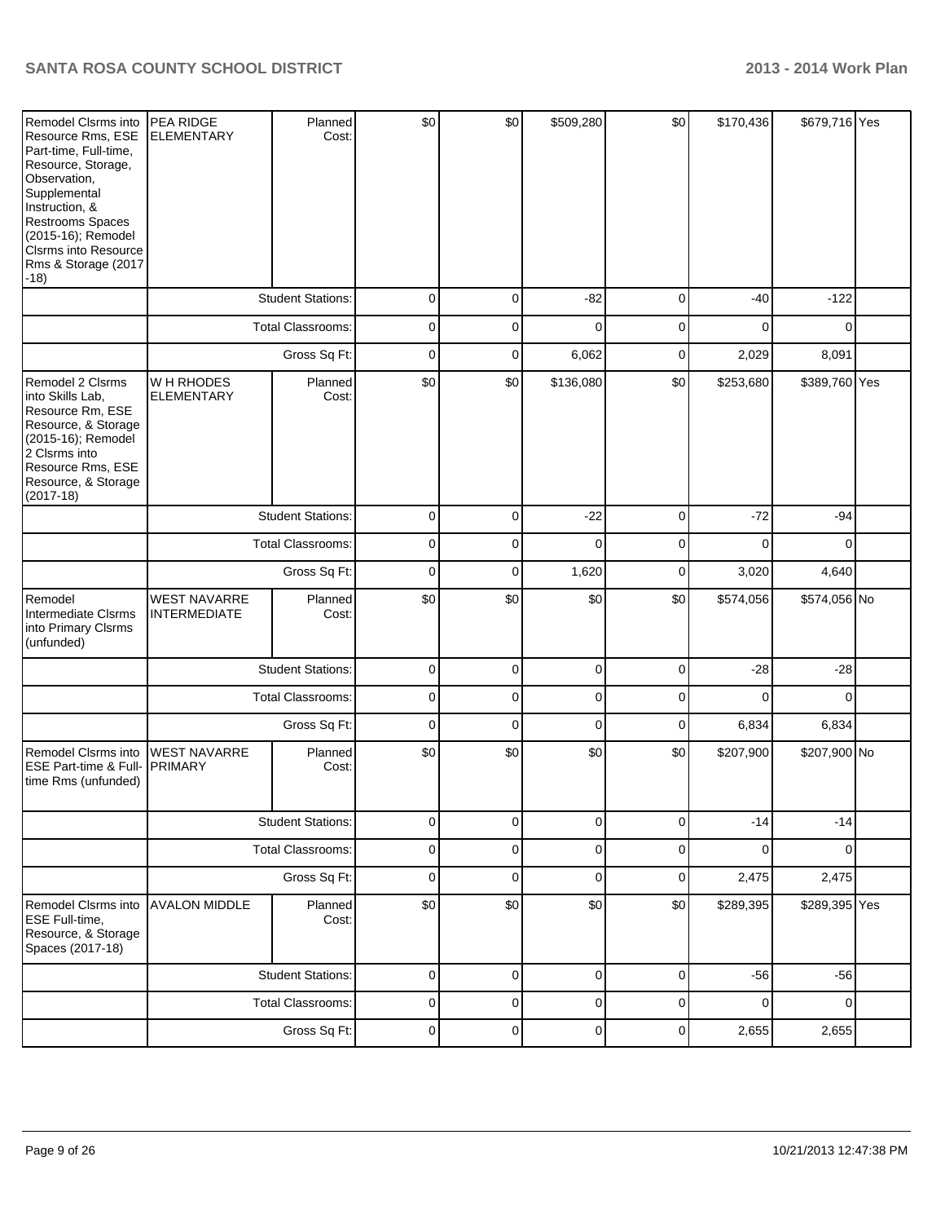| Remodel Clsrms into<br>Resource Rms, ESE<br>Part-time, Full-time,<br>Resource, Storage,<br>Observation,<br>Supplemental<br>Instruction, &<br><b>Restrooms Spaces</b><br>(2015-16); Remodel<br><b>CIsrms into Resource</b><br>Rms & Storage (2017<br>$-18)$ | PEA RIDGE<br><b>ELEMENTARY</b>             | Planned<br>Cost:         | \$0         | \$0         | \$509,280   | \$0         | \$170,436   | \$679,716 Yes  |  |
|------------------------------------------------------------------------------------------------------------------------------------------------------------------------------------------------------------------------------------------------------------|--------------------------------------------|--------------------------|-------------|-------------|-------------|-------------|-------------|----------------|--|
|                                                                                                                                                                                                                                                            |                                            | <b>Student Stations:</b> | 0           | 0           | $-82$       | 0           | $-40$       | $-122$         |  |
|                                                                                                                                                                                                                                                            |                                            | <b>Total Classrooms:</b> | 0           | 0           | 0           | 0           | 0           | 0              |  |
|                                                                                                                                                                                                                                                            |                                            | Gross Sq Ft:             | 0           | 0           | 6,062       | 0           | 2,029       | 8,091          |  |
| Remodel 2 Clsrms<br>into Skills Lab,<br>Resource Rm, ESE<br>Resource, & Storage<br>(2015-16); Remodel<br>2 Clsrms into<br>Resource Rms, ESE<br>Resource, & Storage<br>$(2017-18)$                                                                          | W H RHODES<br><b>ELEMENTARY</b>            | Planned<br>Cost:         | \$0         | \$0         | \$136,080   | \$0         | \$253,680   | \$389,760 Yes  |  |
|                                                                                                                                                                                                                                                            |                                            | <b>Student Stations:</b> | 0           | 0           | $-22$       | $\pmb{0}$   | $-72$       | $-94$          |  |
|                                                                                                                                                                                                                                                            |                                            | <b>Total Classrooms:</b> | $\mathbf 0$ | 0           | $\mathbf 0$ | 0           | 0           | $\mathbf 0$    |  |
|                                                                                                                                                                                                                                                            | Gross Sq Ft:                               |                          | $\mathbf 0$ | 0           | 1,620       | 0           | 3,020       | 4,640          |  |
| Remodel<br>Intermediate Clsrms<br>into Primary Clsrms<br>(unfunded)                                                                                                                                                                                        | <b>WEST NAVARRE</b><br><b>INTERMEDIATE</b> | Planned<br>Cost:         | \$0         | \$0         | \$0         | \$0         | \$574,056   | \$574,056 No   |  |
|                                                                                                                                                                                                                                                            |                                            | <b>Student Stations:</b> | 0           | 0           | $\mathbf 0$ | $\mathbf 0$ | $-28$       | $-28$          |  |
|                                                                                                                                                                                                                                                            |                                            | <b>Total Classrooms:</b> | 0           | 0           | 0           | 0           | 0           | 0              |  |
|                                                                                                                                                                                                                                                            |                                            | Gross Sq Ft:             | 0           | 0           | 0           | 0           | 6,834       | 6,834          |  |
| Remodel Clsrms into<br>ESE Part-time & Full-<br>time Rms (unfunded)                                                                                                                                                                                        | <b>WEST NAVARRE</b><br><b>PRIMARY</b>      | Planned<br>Cost:         | \$0         | \$0         | \$0         | \$0         | \$207,900   | \$207,900 No   |  |
|                                                                                                                                                                                                                                                            |                                            | <b>Student Stations:</b> | 0           | 0           | 0           | 0           | $-14$       | $-14$          |  |
|                                                                                                                                                                                                                                                            |                                            | <b>Total Classrooms:</b> | 0           | 0           | $\pmb{0}$   | $\pmb{0}$   | $\mathbf 0$ | $\overline{0}$ |  |
|                                                                                                                                                                                                                                                            |                                            | Gross Sq Ft:             | $\mathbf 0$ | $\mathbf 0$ | $\mathbf 0$ | $\pmb{0}$   | 2,475       | 2,475          |  |
| Remodel Clsrms into<br><b>ESE Full-time,</b><br>Resource, & Storage<br>Spaces (2017-18)                                                                                                                                                                    | <b>AVALON MIDDLE</b>                       | Planned<br>Cost:         | \$0         | \$0         | \$0         | \$0         | \$289,395   | \$289,395 Yes  |  |
|                                                                                                                                                                                                                                                            |                                            | <b>Student Stations:</b> | 0           | 0           | 0           | 0           | $-56$       | $-56$          |  |
|                                                                                                                                                                                                                                                            |                                            | <b>Total Classrooms:</b> | 0           | 0           | 0           | 0           | 0           | $\mathbf 0$    |  |
|                                                                                                                                                                                                                                                            |                                            | Gross Sq Ft:             | $\pmb{0}$   | 0           | $\pmb{0}$   | 0           | 2,655       | 2,655          |  |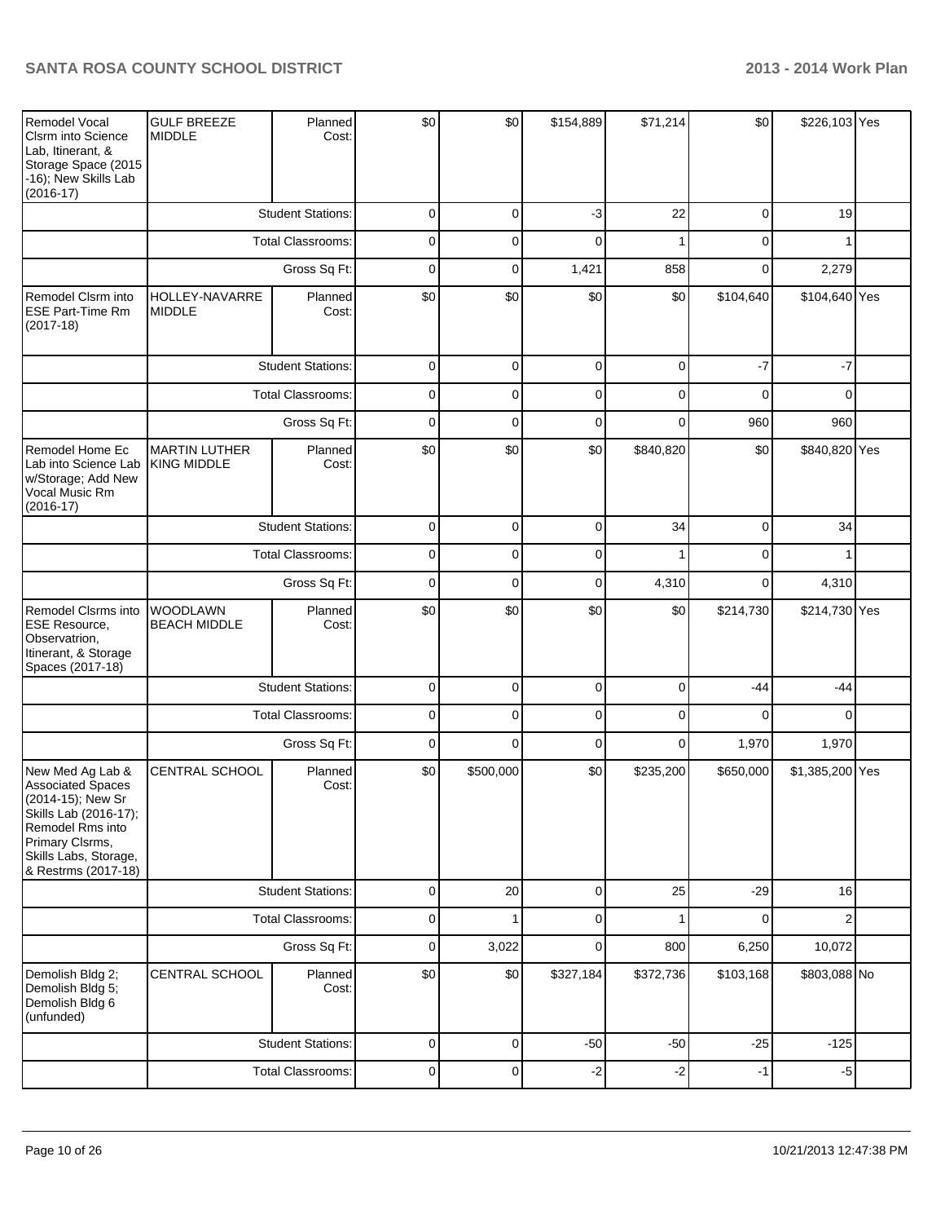| <b>Remodel Vocal</b><br><b>Clsrm into Science</b><br>Lab, Itinerant, &<br>Storage Space (2015<br>-16); New Skills Lab<br>$(2016-17)$                                              | <b>GULF BREEZE</b><br><b>MIDDLE</b>        | Planned<br>Cost:         | \$0            | \$0            | \$154,889      | \$71,214       | \$0            | \$226,103 Yes   |  |
|-----------------------------------------------------------------------------------------------------------------------------------------------------------------------------------|--------------------------------------------|--------------------------|----------------|----------------|----------------|----------------|----------------|-----------------|--|
|                                                                                                                                                                                   |                                            | <b>Student Stations:</b> | $\mathbf 0$    | 0              | $-3$           | 22             | $\overline{0}$ | 19              |  |
|                                                                                                                                                                                   |                                            | <b>Total Classrooms:</b> | $\mathbf 0$    | 0              | 0              | 1              | 0              | 1               |  |
|                                                                                                                                                                                   |                                            | Gross Sq Ft:             | $\mathbf 0$    | 0              | 1,421          | 858            | 0              | 2,279           |  |
| Remodel Clsrm into<br><b>ESE Part-Time Rm</b><br>$(2017-18)$                                                                                                                      | HOLLEY-NAVARRE<br><b>MIDDLE</b>            | Planned<br>Cost:         | \$0            | \$0            | \$0            | \$0            | \$104,640      | \$104,640 Yes   |  |
|                                                                                                                                                                                   |                                            | <b>Student Stations:</b> | 0              | 0              | 0              | 0              | $-7$           | $-7$            |  |
|                                                                                                                                                                                   |                                            | Total Classrooms:        | $\mathbf 0$    | 0              | $\mathbf 0$    | 0              | 0              | 0               |  |
|                                                                                                                                                                                   |                                            | Gross Sq Ft:             | $\mathbf 0$    | $\overline{0}$ | $\mathbf 0$    | 0              | 960            | 960             |  |
| Remodel Home Ec<br>Lab into Science Lab<br>w/Storage; Add New<br>Vocal Music Rm<br>$(2016-17)$                                                                                    | <b>MARTIN LUTHER</b><br><b>KING MIDDLE</b> | Planned<br>Cost:         | \$0            | \$0            | \$0            | \$840,820      | \$0            | \$840,820 Yes   |  |
|                                                                                                                                                                                   |                                            | <b>Student Stations:</b> | $\mathbf 0$    | 0              | $\mathbf 0$    | 34             | $\mathbf 0$    | 34              |  |
|                                                                                                                                                                                   | Total Classrooms:<br>Gross Sq Ft:          |                          | $\mathbf 0$    | $\overline{0}$ | $\mathbf 0$    |                | $\mathbf 0$    | 1               |  |
|                                                                                                                                                                                   |                                            |                          | $\mathbf 0$    | $\overline{0}$ | $\mathbf 0$    | 4,310          | 0              | 4,310           |  |
| Remodel Clsrms into<br>ESE Resource,<br>Observatrion,<br>Itinerant, & Storage<br>Spaces (2017-18)                                                                                 | WOODLAWN<br><b>BEACH MIDDLE</b>            | Planned<br>Cost:         | \$0            | \$0            | \$0            | \$0            | \$214,730      | \$214,730 Yes   |  |
|                                                                                                                                                                                   |                                            | <b>Student Stations:</b> | $\mathbf 0$    | 0              | $\overline{0}$ | $\overline{0}$ | $-44$          | $-44$           |  |
|                                                                                                                                                                                   |                                            | <b>Total Classrooms:</b> | 0              | 0              | 0              | 0              | $\Omega$       | $\Omega$        |  |
|                                                                                                                                                                                   |                                            | Gross Sq Ft:             | 0              | 0              | $\mathbf 0$    | $\overline{0}$ | 1,970          | 1,970           |  |
| New Med Ag Lab &<br><b>Associated Spaces</b><br>(2014-15); New Sr<br>Skills Lab (2016-17);<br>Remodel Rms into<br>Primary Clsrms,<br>Skills Labs, Storage,<br>& Restrms (2017-18) | CENTRAL SCHOOL                             | Planned<br>Cost:         | \$0            | \$500,000      | \$0            | \$235,200      | \$650,000      | \$1,385,200 Yes |  |
|                                                                                                                                                                                   |                                            | <b>Student Stations:</b> | $\overline{0}$ | 20             | $\overline{0}$ | 25             | $-29$          | 16              |  |
|                                                                                                                                                                                   |                                            | <b>Total Classrooms:</b> | $\overline{0}$ | 1              | $\overline{0}$ | 1              | $\mathbf 0$    | $\overline{2}$  |  |
|                                                                                                                                                                                   |                                            | Gross Sq Ft:             | $\overline{0}$ | 3,022          | $\overline{0}$ | 800            | 6,250          | 10,072          |  |
| Demolish Bldg 2;<br>Demolish Bldg 5;<br>Demolish Bldg 6<br>(unfunded)                                                                                                             | <b>CENTRAL SCHOOL</b>                      | Planned<br>Cost:         | \$0            | \$0            | \$327,184      | \$372,736      | \$103,168      | \$803,088 No    |  |
|                                                                                                                                                                                   |                                            | <b>Student Stations:</b> | 0              | 0              | $-50$          | $-50$          | $-25$          | $-125$          |  |
|                                                                                                                                                                                   |                                            | Total Classrooms:        | $\mathbf 0$    | $\overline{0}$ | $-2$           | $-2$           | $-1$           | $-5$            |  |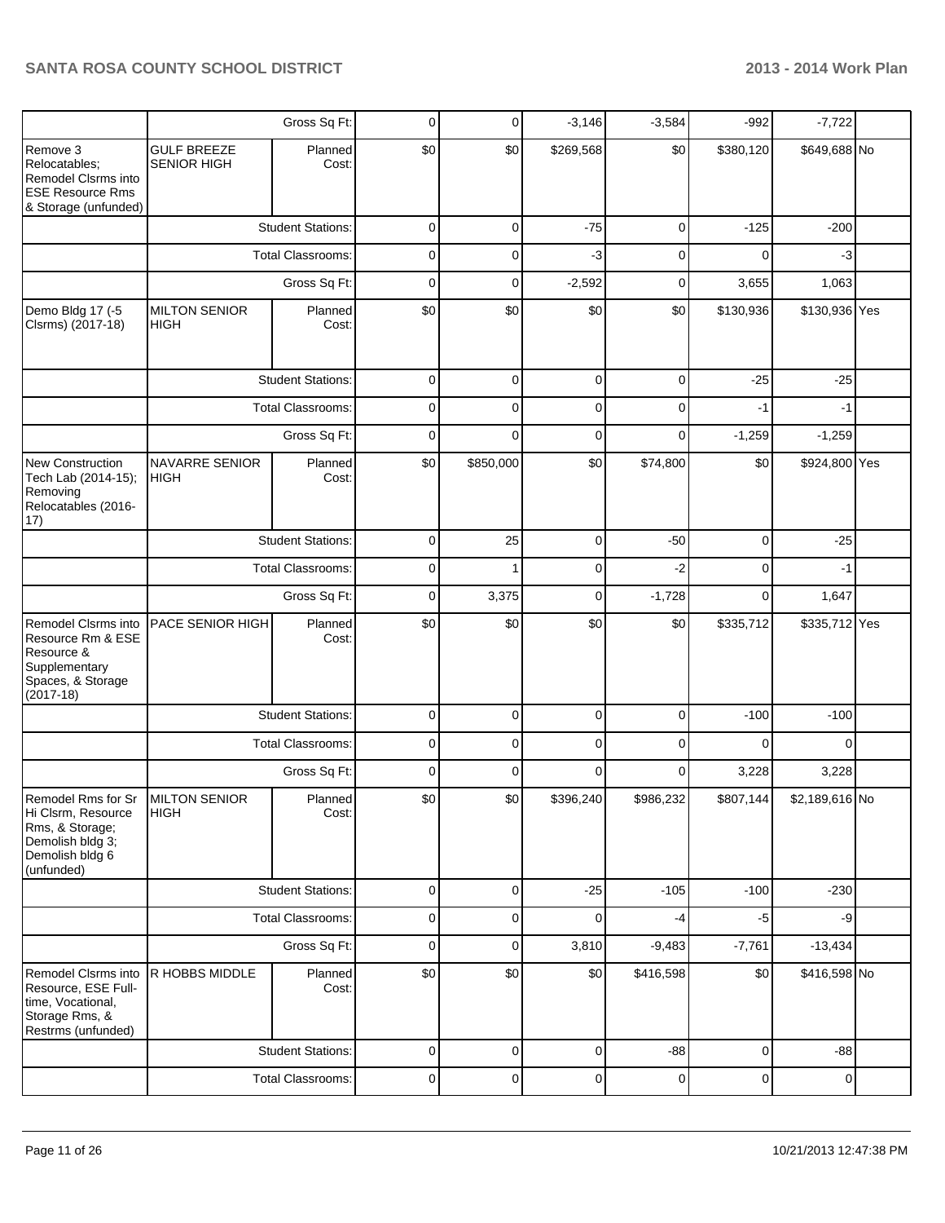|                                                                                                                                |                                          | Gross Sq Ft:             | 0              | 0           | $-3,146$    | $-3,584$     | $-992$      | $-7,722$       |  |
|--------------------------------------------------------------------------------------------------------------------------------|------------------------------------------|--------------------------|----------------|-------------|-------------|--------------|-------------|----------------|--|
| Remove 3<br>Relocatables;<br>Remodel Clsrms into<br><b>ESE Resource Rms</b><br>& Storage (unfunded)                            | <b>GULF BREEZE</b><br><b>SENIOR HIGH</b> | Planned<br>Cost:         | \$0            | \$0         | \$269,568   | \$0          | \$380,120   | \$649,688 No   |  |
|                                                                                                                                |                                          | <b>Student Stations:</b> | 0              | 0           | $-75$       | 0            | $-125$      | $-200$         |  |
|                                                                                                                                |                                          | <b>Total Classrooms:</b> | 0              | $\Omega$    | $-3$        | $\mathbf{0}$ | $\Omega$    | -3             |  |
|                                                                                                                                |                                          | Gross Sq Ft:             | $\overline{0}$ | $\mathbf 0$ | $-2,592$    | 0            | 3,655       | 1,063          |  |
| Demo Bldg 17 (-5<br>Clsrms) (2017-18)                                                                                          | <b>MILTON SENIOR</b><br>HIGH             | Planned<br>Cost:         | \$0            | \$0         | \$0         | \$0          | \$130,936   | \$130,936 Yes  |  |
|                                                                                                                                |                                          | <b>Student Stations:</b> | 0              | $\Omega$    | 0           | 0            | $-25$       | $-25$          |  |
|                                                                                                                                |                                          | <b>Total Classrooms:</b> |                | 0           | 0           | 0            | $-1$        | $-1$           |  |
|                                                                                                                                |                                          | Gross Sq Ft:             | 0              | $\Omega$    | 0           | $\Omega$     | $-1,259$    | $-1,259$       |  |
| <b>New Construction</b><br>Tech Lab (2014-15);<br>Removing<br>Relocatables (2016-<br>17)                                       | NAVARRE SENIOR<br><b>HIGH</b>            | Planned<br>Cost:         | \$0            | \$850,000   | \$0         | \$74,800     | \$0         | \$924,800 Yes  |  |
|                                                                                                                                | <b>Student Stations:</b>                 |                          | $\mathbf 0$    | 25          | 0           | $-50$        | 0           | $-25$          |  |
|                                                                                                                                |                                          | <b>Total Classrooms:</b> |                |             | 0           | $-2$         | 0           | $-1$           |  |
|                                                                                                                                | Gross Sq Ft:                             |                          | $\mathbf 0$    | 3,375       | 0           | $-1,728$     | $\mathbf 0$ | 1,647          |  |
| Remodel Clsrms into<br>Resource Rm & ESE<br>Resource &<br>Supplementary<br>Spaces, & Storage<br>$(2017-18)$                    | PACE SENIOR HIGH                         | Planned<br>Cost:         | \$0            | \$0         | \$0         | \$0          | \$335,712   | \$335,712 Yes  |  |
|                                                                                                                                |                                          | <b>Student Stations:</b> | 0              | $\mathbf 0$ | $\mathbf 0$ | $\Omega$     | $-100$      | $-100$         |  |
|                                                                                                                                |                                          | <b>Total Classrooms:</b> | 0              | 0           | $\mathbf 0$ | $\Omega$     | $\Omega$    | 0              |  |
|                                                                                                                                |                                          | Gross Sq Ft:             | 0              | $\Omega$    | $\Omega$    | $\Omega$     | 3,228       | 3,228          |  |
| Remodel Rms for Sr MILTON SENIOR<br>Hi Clsrm, Resource<br>Rms, & Storage;<br>Demolish bldg 3;<br>Demolish bldg 6<br>(unfunded) | <b>HIGH</b>                              | Planned<br>Cost:         | \$0            | \$0         | \$396,240   | \$986,232    | \$807,144   | \$2,189,616 No |  |
|                                                                                                                                |                                          | <b>Student Stations:</b> | 0              | 0           | $-25$       | $-105$       | $-100$      | $-230$         |  |
|                                                                                                                                |                                          | <b>Total Classrooms:</b> | 0              | 0           | 0           | -4           | -5          | $-9$           |  |
|                                                                                                                                |                                          | Gross Sq Ft:             | 0              | 0           | 3,810       | $-9,483$     | $-7,761$    | $-13,434$      |  |
| Remodel Clsrms into<br>Resource, ESE Full-<br>time, Vocational,<br>Storage Rms, &<br>Restrms (unfunded)                        | R HOBBS MIDDLE                           | Planned<br>Cost:         | \$0            | \$0         | \$0         | \$416,598    | \$0         | \$416,598 No   |  |
|                                                                                                                                |                                          | <b>Student Stations:</b> | 0              | 0           | $\mathbf 0$ | $-88$        | $\mathbf 0$ | $-88$          |  |
|                                                                                                                                |                                          | <b>Total Classrooms:</b> | 0              | 0           | 0           | $\pmb{0}$    | 0           | $\mathbf 0$    |  |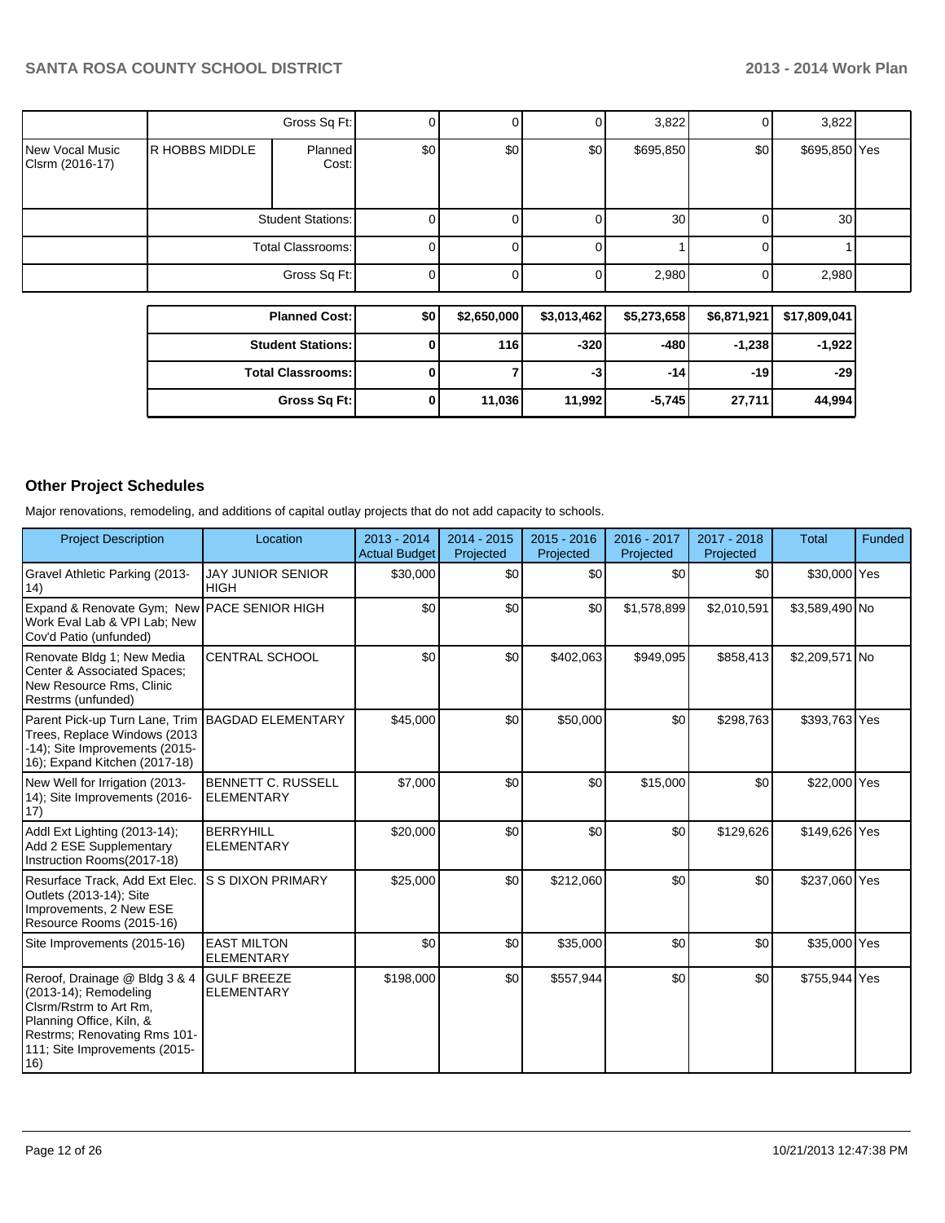|                                    |                | Gross Sq Ft:      |      |     |                  | 3,822           |     | 3,822           |  |
|------------------------------------|----------------|-------------------|------|-----|------------------|-----------------|-----|-----------------|--|
| New Vocal Music<br>Clsrm (2016-17) | R HOBBS MIDDLE | Planned<br>Cost:  | \$0] | \$0 | \$0 <sub>1</sub> | \$695,850       | \$0 | \$695,850 Yes   |  |
|                                    |                | Student Stations: |      |     |                  | 30 <sup>1</sup> |     | 30 <sup>1</sup> |  |
|                                    |                | Total Classrooms: |      |     |                  |                 |     |                 |  |
|                                    |                | Gross Sq Ft:      |      |     |                  | 2,980           | 0   | 2,980           |  |
|                                    |                |                   |      |     |                  |                 |     |                 |  |

| <b>Planned Cost:</b>     | \$0 | \$2,650,000 | \$3,013,462 | \$5,273,658 | \$6,871,921 | \$17,809,041 |
|--------------------------|-----|-------------|-------------|-------------|-------------|--------------|
| <b>Student Stations:</b> | 0   | 116         | $-320$      | -480 l      | $-1,238$    | $-1,922$     |
| <b>Total Classrooms:</b> |     |             | -3          | -14 l       | $-19$       | -291         |
| Gross Sq Ft:             | 0   | 11,036      | 11.992      | $-5,745$    | 27,711      | 44,994       |

## **Other Project Schedules**

Major renovations, remodeling, and additions of capital outlay projects that do not add capacity to schools.

| <b>Project Description</b>                                                                                                                                                           | Location                                       | 2013 - 2014<br><b>Actual Budget</b> | $2014 - 2015$<br>Projected | $2015 - 2016$<br>Projected | 2016 - 2017<br>Projected | 2017 - 2018<br>Projected | <b>Total</b>   | <b>Funded</b> |
|--------------------------------------------------------------------------------------------------------------------------------------------------------------------------------------|------------------------------------------------|-------------------------------------|----------------------------|----------------------------|--------------------------|--------------------------|----------------|---------------|
| Gravel Athletic Parking (2013-<br>(14)                                                                                                                                               | <b>JAY JUNIOR SENIOR</b><br><b>HIGH</b>        | \$30,000                            | \$0                        | \$0                        | \$0                      | \$0                      | \$30,000 Yes   |               |
| Expand & Renovate Gym; New PACE SENIOR HIGH<br>Work Eval Lab & VPI Lab; New<br>Cov'd Patio (unfunded)                                                                                |                                                | \$0                                 | \$0                        | \$0                        | \$1,578,899              | \$2,010,591              | \$3,589,490 No |               |
| Renovate Bldg 1; New Media<br>Center & Associated Spaces;<br>New Resource Rms, Clinic<br>Restrms (unfunded)                                                                          | <b>CENTRAL SCHOOL</b>                          | \$0                                 | \$0                        | \$402,063                  | \$949,095                | \$858,413                | \$2,209,571 No |               |
| Parent Pick-up Turn Lane, Trim<br>Trees, Replace Windows (2013)<br>-14); Site Improvements (2015-<br>16); Expand Kitchen (2017-18)                                                   | <b>BAGDAD ELEMENTARY</b>                       | \$45,000                            | \$0                        | \$50,000                   | \$0                      | \$298,763                | \$393,763 Yes  |               |
| New Well for Irrigation (2013-<br>14); Site Improvements (2016-<br>17)                                                                                                               | <b>BENNETT C. RUSSELL</b><br><b>ELEMENTARY</b> | \$7,000                             | \$0                        | \$0                        | \$15,000                 | \$0                      | \$22,000 Yes   |               |
| Addl Ext Lighting (2013-14);<br>Add 2 ESE Supplementary<br>Instruction Rooms(2017-18)                                                                                                | <b>BERRYHILL</b><br><b>ELEMENTARY</b>          | \$20,000                            | \$0                        | \$0                        | \$0                      | \$129,626                | \$149,626 Yes  |               |
| Resurface Track, Add Ext Elec.<br>Outlets (2013-14); Site<br>Improvements, 2 New ESE<br>Resource Rooms (2015-16)                                                                     | S S DIXON PRIMARY                              | \$25,000                            | \$0                        | \$212,060                  | \$0                      | \$0                      | \$237,060 Yes  |               |
| Site Improvements (2015-16)                                                                                                                                                          | <b>EAST MILTON</b><br><b>ELEMENTARY</b>        | \$0                                 | \$0                        | \$35,000                   | \$0                      | \$0                      | \$35,000 Yes   |               |
| Reroof, Drainage @ Bldg 3 & 4<br>(2013-14); Remodeling<br>Cisrm/Rstrm to Art Rm,<br>Planning Office, Kiln, &<br>Restrms; Renovating Rms 101-<br>111; Site Improvements (2015-<br>16) | <b>GULF BREEZE</b><br><b>ELEMENTARY</b>        | \$198,000                           | \$0                        | \$557,944                  | \$0                      | \$0                      | \$755,944 Yes  |               |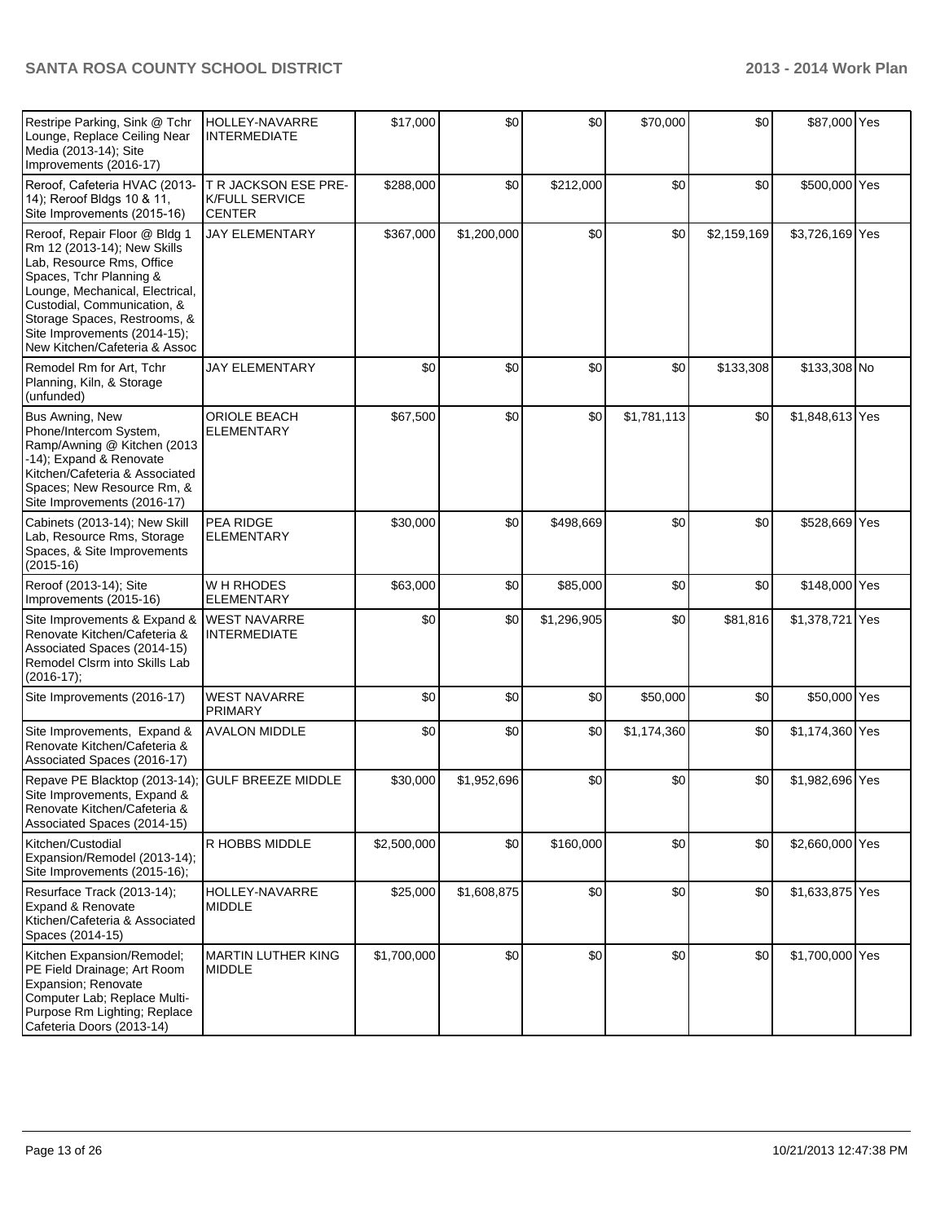| Restripe Parking, Sink @ Tchr<br>Lounge, Replace Ceiling Near<br>Media (2013-14); Site<br>Improvements (2016-17)                                                                                                                                                                        | HOLLEY-NAVARRE<br><b>INTERMEDIATE</b>                          | \$17,000    | \$0         | \$0         | \$70,000    | \$0         | \$87,000 Yes    |  |
|-----------------------------------------------------------------------------------------------------------------------------------------------------------------------------------------------------------------------------------------------------------------------------------------|----------------------------------------------------------------|-------------|-------------|-------------|-------------|-------------|-----------------|--|
| Reroof, Cafeteria HVAC (2013-<br>14); Reroof Bldgs 10 & 11,<br>Site Improvements (2015-16)                                                                                                                                                                                              | T R JACKSON ESE PRE-<br><b>K/FULL SERVICE</b><br><b>CENTER</b> | \$288,000   | \$0         | \$212,000   | \$0         | \$0         | \$500,000 Yes   |  |
| Reroof, Repair Floor @ Bldg 1<br>Rm 12 (2013-14); New Skills<br>Lab, Resource Rms, Office<br>Spaces, Tchr Planning &<br>Lounge, Mechanical, Electrical,<br>Custodial, Communication, &<br>Storage Spaces, Restrooms, &<br>Site Improvements (2014-15);<br>New Kitchen/Cafeteria & Assoc | <b>JAY ELEMENTARY</b>                                          | \$367,000   | \$1,200,000 | \$0         | \$0         | \$2,159,169 | \$3,726,169 Yes |  |
| Remodel Rm for Art, Tchr<br>Planning, Kiln, & Storage<br>(unfunded)                                                                                                                                                                                                                     | <b>JAY ELEMENTARY</b>                                          | \$0         | \$0         | \$0         | \$0         | \$133,308   | \$133,308 No    |  |
| Bus Awning, New<br>Phone/Intercom System,<br>Ramp/Awning @ Kitchen (2013<br>-14); Expand & Renovate<br>Kitchen/Cafeteria & Associated<br>Spaces: New Resource Rm, &<br>Site Improvements (2016-17)                                                                                      | ORIOLE BEACH<br>ELEMENTARY                                     | \$67,500    | \$0         | \$0         | \$1,781,113 | \$0         | \$1,848,613 Yes |  |
| Cabinets (2013-14); New Skill<br>Lab, Resource Rms, Storage<br>Spaces, & Site Improvements<br>$(2015-16)$                                                                                                                                                                               | PEA RIDGE<br><b>ELEMENTARY</b>                                 | \$30,000    | \$0         | \$498,669   | \$0         | \$0         | \$528,669 Yes   |  |
| Reroof (2013-14); Site<br>Improvements (2015-16)                                                                                                                                                                                                                                        | W H RHODES<br><b>ELEMENTARY</b>                                | \$63,000    | \$0         | \$85,000    | \$0         | \$0         | \$148,000 Yes   |  |
| Site Improvements & Expand &<br>Renovate Kitchen/Cafeteria &<br>Associated Spaces (2014-15)<br>Remodel Clsrm into Skills Lab<br>$(2016-17);$                                                                                                                                            | <b>WEST NAVARRE</b><br><b>INTERMEDIATE</b>                     | \$0         | \$0         | \$1,296,905 | \$0         | \$81,816    | \$1,378,721 Yes |  |
| Site Improvements (2016-17)                                                                                                                                                                                                                                                             | <b>WEST NAVARRE</b><br><b>PRIMARY</b>                          | \$0         | \$0         | \$0         | \$50,000    | \$0         | \$50,000 Yes    |  |
| Site Improvements, Expand &<br>Renovate Kitchen/Cafeteria &<br>Associated Spaces (2016-17)                                                                                                                                                                                              | <b>AVALON MIDDLE</b>                                           | \$0         | \$0         | \$0         | \$1,174,360 | \$0         | \$1,174,360 Yes |  |
| Repave PE Blacktop (2013-14);<br>Site Improvements, Expand &<br>Renovate Kitchen/Cafeteria &<br>Associated Spaces (2014-15)                                                                                                                                                             | <b>GULF BREEZE MIDDLE</b>                                      | \$30,000    | \$1,952,696 | \$0         | \$0         | \$0         | \$1,982,696 Yes |  |
| Kitchen/Custodial<br>Expansion/Remodel (2013-14);<br>Site Improvements (2015-16);                                                                                                                                                                                                       | R HOBBS MIDDLE                                                 | \$2,500,000 | \$0         | \$160,000   | \$0         | \$0         | \$2,660,000 Yes |  |
| Resurface Track (2013-14);<br><b>Expand &amp; Renovate</b><br>Ktichen/Cafeteria & Associated<br>Spaces (2014-15)                                                                                                                                                                        | HOLLEY-NAVARRE<br><b>MIDDLE</b>                                | \$25,000    | \$1,608,875 | \$0         | \$0         | \$0         | \$1,633,875 Yes |  |
| Kitchen Expansion/Remodel;<br>PE Field Drainage; Art Room<br>Expansion; Renovate<br>Computer Lab; Replace Multi-<br>Purpose Rm Lighting; Replace<br>Cafeteria Doors (2013-14)                                                                                                           | <b>MARTIN LUTHER KING</b><br><b>MIDDLE</b>                     | \$1,700,000 | \$0         | \$0         | \$0         | \$0         | \$1,700,000 Yes |  |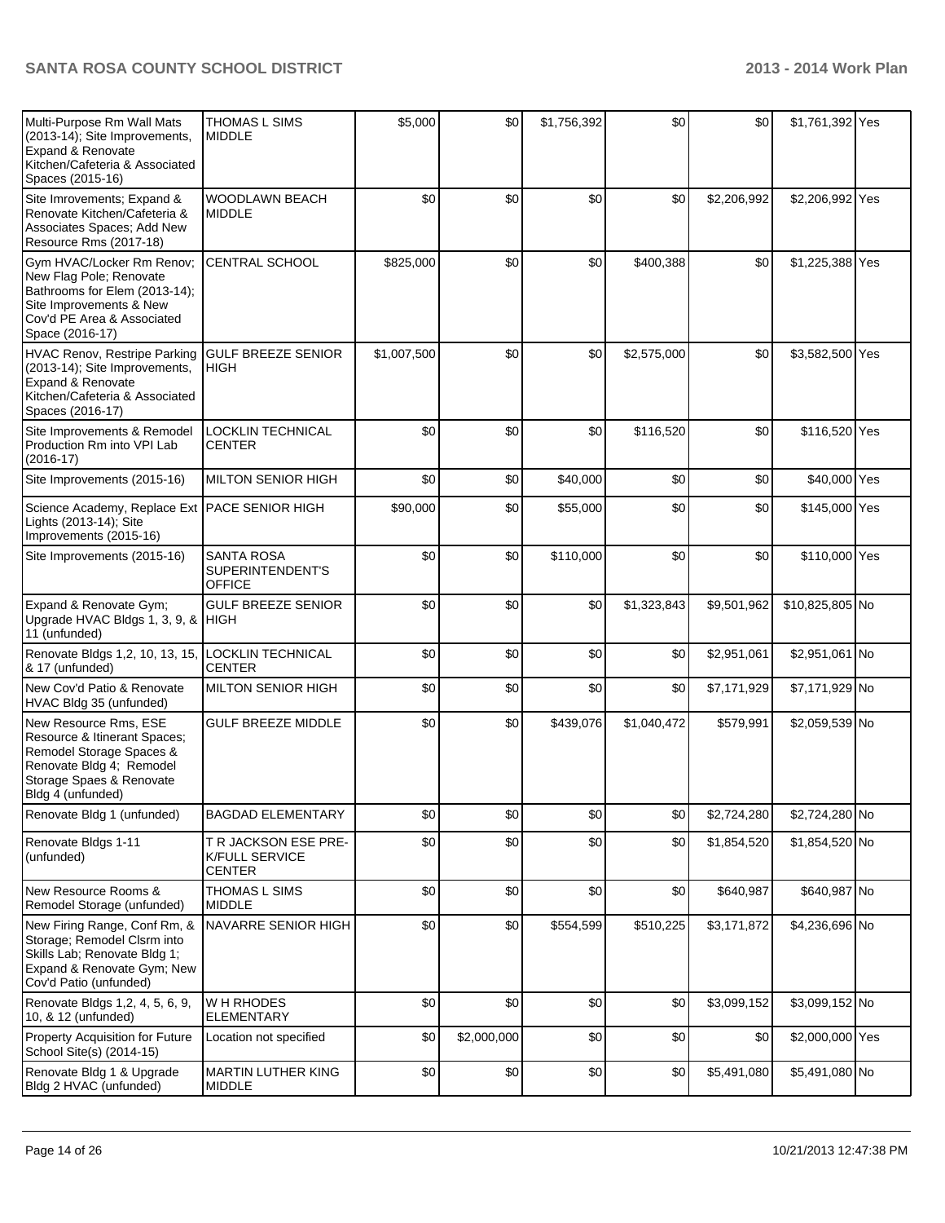| Multi-Purpose Rm Wall Mats<br>(2013-14); Site Improvements,<br><b>Expand &amp; Renovate</b><br>Kitchen/Cafeteria & Associated<br>Spaces (2015-16)                 | THOMAS L SIMS<br><b>MIDDLE</b>                                 | \$5,000     | \$0         | \$1,756,392 | \$0         | \$0         | \$1,761,392 Yes |  |
|-------------------------------------------------------------------------------------------------------------------------------------------------------------------|----------------------------------------------------------------|-------------|-------------|-------------|-------------|-------------|-----------------|--|
| Site Imrovements; Expand &<br>Renovate Kitchen/Cafeteria &<br>Associates Spaces; Add New<br>Resource Rms (2017-18)                                                | WOODLAWN BEACH<br><b>MIDDLE</b>                                | \$0         | \$0         | \$0         | \$0         | \$2,206,992 | \$2,206,992 Yes |  |
| Gym HVAC/Locker Rm Renov;<br>New Flag Pole; Renovate<br>Bathrooms for Elem (2013-14);<br>Site Improvements & New<br>Cov'd PE Area & Associated<br>Space (2016-17) | CENTRAL SCHOOL                                                 | \$825,000   | \$0         | \$0         | \$400,388   | \$0         | \$1,225,388 Yes |  |
| HVAC Renov, Restripe Parking<br>(2013-14); Site Improvements,<br><b>Expand &amp; Renovate</b><br>Kitchen/Cafeteria & Associated<br>Spaces (2016-17)               | <b>GULF BREEZE SENIOR</b><br><b>HIGH</b>                       | \$1,007,500 | \$0         | \$0         | \$2,575,000 | \$0         | \$3,582,500 Yes |  |
| Site Improvements & Remodel<br>Production Rm into VPI Lab<br>$(2016-17)$                                                                                          | LOCKLIN TECHNICAL<br><b>CENTER</b>                             | \$0         | \$0         | \$0         | \$116,520   | \$0         | \$116,520 Yes   |  |
| Site Improvements (2015-16)                                                                                                                                       | <b>MILTON SENIOR HIGH</b>                                      | \$0         | \$0         | \$40,000    | \$0         | \$0         | \$40,000 Yes    |  |
| Science Academy, Replace Ext PACE SENIOR HIGH<br>Lights (2013-14); Site<br>Improvements (2015-16)                                                                 |                                                                | \$90,000    | \$0         | \$55,000    | \$0         | \$0         | \$145,000 Yes   |  |
| Site Improvements (2015-16)                                                                                                                                       | <b>SANTA ROSA</b><br>SUPERINTENDENT'S<br><b>OFFICE</b>         | \$0         | \$0         | \$110,000   | \$0         | \$0         | \$110,000 Yes   |  |
| Expand & Renovate Gym;<br>Upgrade HVAC Bldgs 1, 3, 9, & HIGH<br>11 (unfunded)                                                                                     | <b>GULF BREEZE SENIOR</b>                                      | \$0         | \$0         | \$0         | \$1,323,843 | \$9,501,962 | \$10,825,805 No |  |
| Renovate Bldgs 1,2, 10, 13, 15,<br>& 17 (unfunded)                                                                                                                | LOCKLIN TECHNICAL<br><b>CENTER</b>                             | \$0         | \$0         | \$0         | \$0         | \$2,951,061 | \$2,951,061 No  |  |
| New Cov'd Patio & Renovate<br>HVAC Bldg 35 (unfunded)                                                                                                             | <b>MILTON SENIOR HIGH</b>                                      | \$0         | \$0         | \$0         | \$0         | \$7,171,929 | \$7,171,929 No  |  |
| New Resource Rms, ESE<br>Resource & Itinerant Spaces;<br>Remodel Storage Spaces &<br>Renovate Bldg 4; Remodel<br>Storage Spaes & Renovate<br>Bldg 4 (unfunded)    | <b>GULF BREEZE MIDDLE</b>                                      | \$0         | \$0         | \$439,076   | \$1,040,472 | \$579,991   | \$2,059,539 No  |  |
| Renovate Bldg 1 (unfunded)                                                                                                                                        | <b>BAGDAD ELEMENTARY</b>                                       | \$0         | \$0         | \$0         | \$0         | \$2,724,280 | \$2,724,280 No  |  |
| Renovate Bldgs 1-11<br>(unfunded)                                                                                                                                 | T R JACKSON ESE PRE-<br><b>K/FULL SERVICE</b><br><b>CENTER</b> | \$0         | \$0         | \$0         | \$0         | \$1,854,520 | \$1,854,520 No  |  |
| New Resource Rooms &<br>Remodel Storage (unfunded)                                                                                                                | THOMAS L SIMS<br><b>MIDDLE</b>                                 | \$0         | \$0         | \$0         | \$0         | \$640,987   | \$640,987 No    |  |
| New Firing Range, Conf Rm, &<br>Storage; Remodel Clsrm into<br>Skills Lab; Renovate Bldg 1;<br>Expand & Renovate Gym; New<br>Cov'd Patio (unfunded)               | NAVARRE SENIOR HIGH                                            | \$0         | \$0         | \$554,599   | \$510,225   | \$3,171,872 | \$4,236,696 No  |  |
| Renovate Bldgs 1,2, 4, 5, 6, 9,<br>10, & 12 (unfunded)                                                                                                            | W H RHODES<br><b>ELEMENTARY</b>                                | \$0         | \$0         | \$0         | \$0         | \$3,099,152 | \$3,099,152 No  |  |
| <b>Property Acquisition for Future</b><br>School Site(s) (2014-15)                                                                                                | Location not specified                                         | \$0         | \$2,000,000 | \$0         | \$0         | \$0         | \$2,000,000 Yes |  |
| Renovate Bldg 1 & Upgrade<br>Bldg 2 HVAC (unfunded)                                                                                                               | MARTIN LUTHER KING<br><b>MIDDLE</b>                            | \$0         | \$0         | \$0         | \$0         | \$5,491,080 | \$5,491,080 No  |  |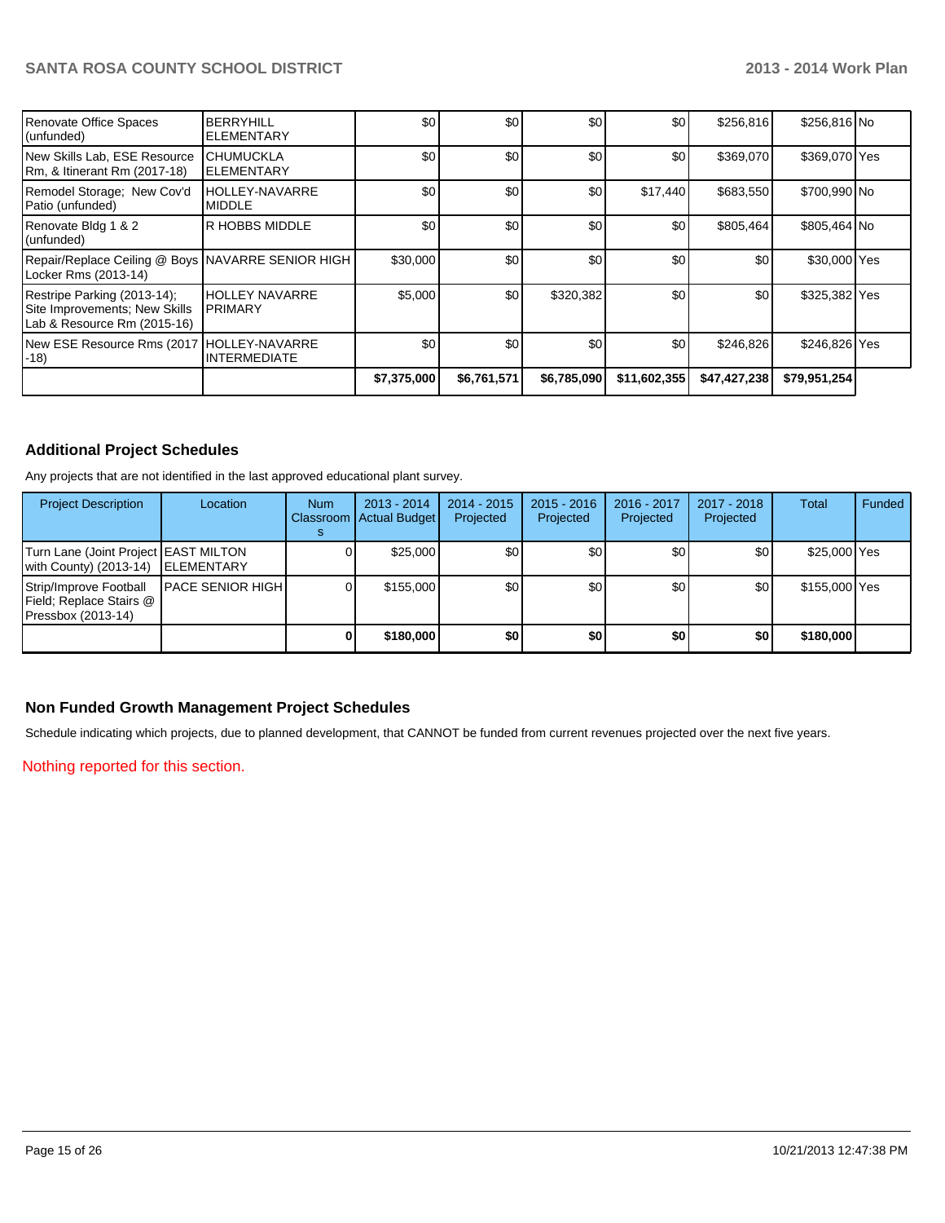|                                                                                             |                                              | \$7,375,000 | \$6,761,571 | \$6,785,090 | \$11,602,355 | \$47,427,238 | \$79,951,254  |  |
|---------------------------------------------------------------------------------------------|----------------------------------------------|-------------|-------------|-------------|--------------|--------------|---------------|--|
| New ESE Resource Rms (2017<br>l-18)                                                         | <b>HOLLEY-NAVARRE</b><br><b>INTERMEDIATE</b> | \$0         | \$0         | \$0         | \$0          | \$246,826    | \$246,826 Yes |  |
| Restripe Parking (2013-14);<br>Site Improvements; New Skills<br>Lab & Resource Rm (2015-16) | <b>HOLLEY NAVARRE</b><br><b>PRIMARY</b>      | \$5,000     | \$0         | \$320,382   | \$0          | \$0          | \$325,382 Yes |  |
| Repair/Replace Ceiling @ Boys NAVARRE SENIOR HIGH<br>Locker Rms (2013-14)                   |                                              | \$30,000    | \$0         | \$0         | \$0          | \$0          | \$30,000 Yes  |  |
| Renovate Bldg 1 & 2<br>(unfunded)                                                           | R HOBBS MIDDLE                               | \$0         | \$0         | \$0         | \$0          | \$805,464    | \$805,464 No  |  |
| Remodel Storage; New Cov'd<br>Patio (unfunded)                                              | <b>HOLLEY-NAVARRE</b><br><b>MIDDLE</b>       | \$0         | \$0         | \$0         | \$17,440     | \$683,550    | \$700,990 No  |  |
| New Skills Lab, ESE Resource<br>Rm, & Itinerant Rm (2017-18)                                | <b>CHUMUCKLA</b><br><b>ELEMENTARY</b>        | \$0         | \$0         | \$0         | \$0          | \$369,070    | \$369,070 Yes |  |
| Renovate Office Spaces<br>(unfunded)                                                        | <b>BERRYHILL</b><br>ELEMENTARY               | \$0         | \$0         | \$0         | \$0          | \$256,816    | \$256,816 No  |  |

## **Additional Project Schedules**

Any projects that are not identified in the last approved educational plant survey.

| <b>Project Description</b>                                                | Location                  | <b>Num</b> | 2013 - 2014<br>Classroom   Actual Budget | $2014 - 2015$<br>Projected | $2015 - 2016$<br>Projected | 2016 - 2017<br>Projected | 2017 - 2018<br>Projected | <b>Total</b>  | Funded |
|---------------------------------------------------------------------------|---------------------------|------------|------------------------------------------|----------------------------|----------------------------|--------------------------|--------------------------|---------------|--------|
| Turn Lane (Joint Project EAST MILTON<br>with County) (2013-14) ELEMENTARY |                           |            | \$25,000                                 | \$0                        | \$0                        | \$0                      | \$0                      | \$25,000 Yes  |        |
| Strip/Improve Football<br>Field; Replace Stairs @<br>Pressbox (2013-14)   | <b>IPACE SENIOR HIGHI</b> |            | \$155,000                                | \$0 <sub>1</sub>           | \$0                        | \$0                      | \$0                      | \$155,000 Yes |        |
|                                                                           |                           |            | \$180,000                                | \$0                        | \$0                        | \$0                      | \$0                      | \$180,000     |        |

#### **Non Funded Growth Management Project Schedules**

Schedule indicating which projects, due to planned development, that CANNOT be funded from current revenues projected over the next five years.

Nothing reported for this section.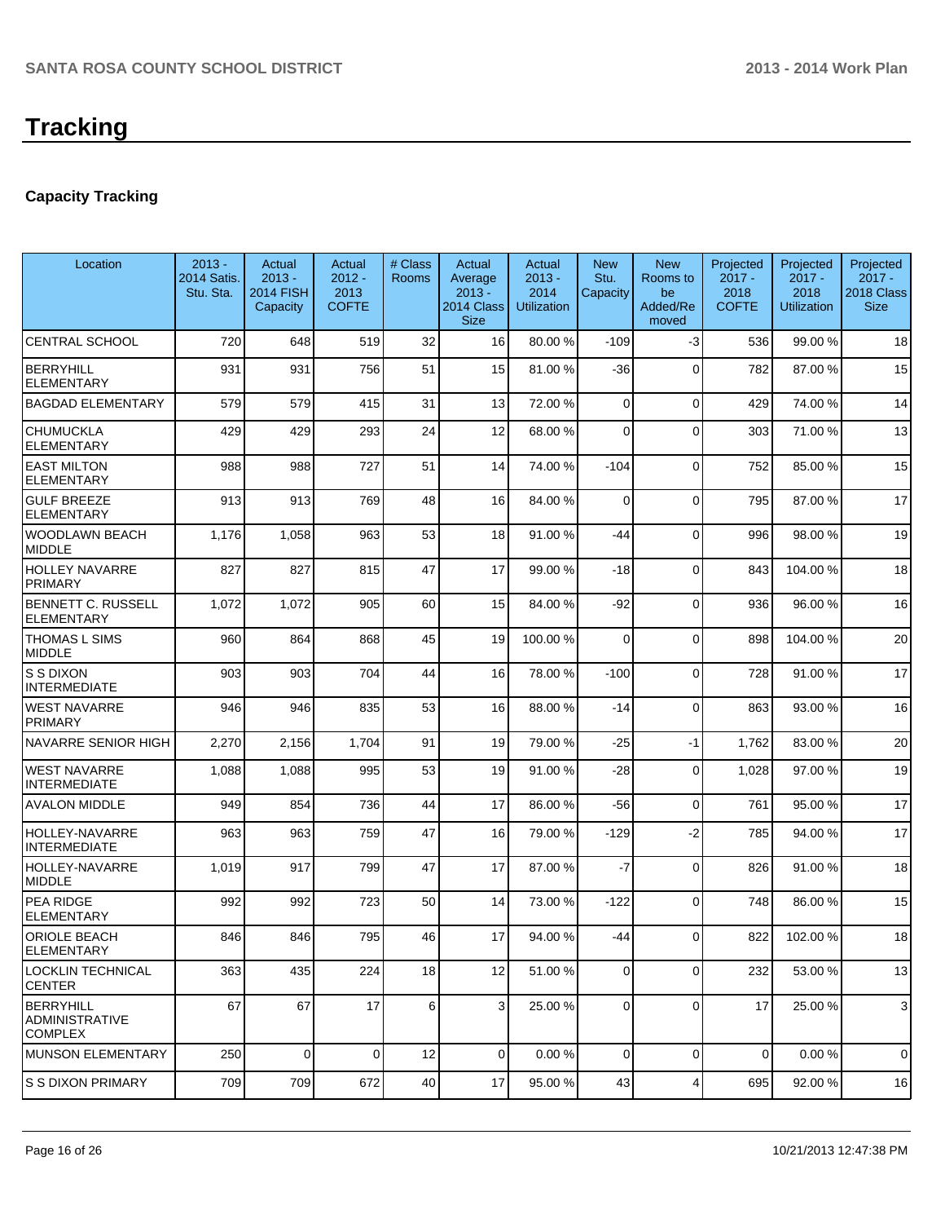## **Capacity Tracking**

| Location                                                    | $2013 -$<br>2014 Satis.<br>Stu. Sta. | Actual<br>$2013 -$<br><b>2014 FISH</b><br>Capacity | Actual<br>$2012 -$<br>2013<br><b>COFTE</b> | # Class<br><b>Rooms</b> | Actual<br>Average<br>$2013 -$<br>2014 Class<br><b>Size</b> | Actual<br>$2013 -$<br>2014<br><b>Utilization</b> | <b>New</b><br>Stu.<br>Capacity | <b>New</b><br>Rooms to<br>be<br>Added/Re<br>moved | Projected<br>$2017 -$<br>2018<br><b>COFTE</b> | Projected<br>$2017 -$<br>2018<br><b>Utilization</b> | Projected<br>$2017 -$<br>2018 Class<br><b>Size</b> |
|-------------------------------------------------------------|--------------------------------------|----------------------------------------------------|--------------------------------------------|-------------------------|------------------------------------------------------------|--------------------------------------------------|--------------------------------|---------------------------------------------------|-----------------------------------------------|-----------------------------------------------------|----------------------------------------------------|
| <b>CENTRAL SCHOOL</b>                                       | 720                                  | 648                                                | 519                                        | 32                      | 16                                                         | 80.00 %                                          | $-109$                         | $-3$                                              | 536                                           | 99.00 %                                             | 18                                                 |
| <b>BERRYHILL</b><br><b>ELEMENTARY</b>                       | 931                                  | 931                                                | 756                                        | 51                      | 15                                                         | 81.00 %                                          | -36                            | $\Omega$                                          | 782                                           | 87.00%                                              | 15                                                 |
| <b>BAGDAD ELEMENTARY</b>                                    | 579                                  | 579                                                | 415                                        | 31                      | 13                                                         | 72.00 %                                          | 0                              | $\Omega$                                          | 429                                           | 74.00%                                              | 14                                                 |
| <b>CHUMUCKLA</b><br><b>ELEMENTARY</b>                       | 429                                  | 429                                                | 293                                        | 24                      | 12                                                         | 68.00 %                                          | 0                              | $\Omega$                                          | 303                                           | 71.00%                                              | 13                                                 |
| <b>EAST MILTON</b><br><b>ELEMENTARY</b>                     | 988                                  | 988                                                | 727                                        | 51                      | 14                                                         | 74.00 %                                          | $-104$                         | $\Omega$                                          | 752                                           | 85.00 %                                             | 15                                                 |
| <b>GULF BREEZE</b><br><b>ELEMENTARY</b>                     | 913                                  | 913                                                | 769                                        | 48                      | 16                                                         | 84.00 %                                          | 0                              | $\Omega$                                          | 795                                           | 87.00 %                                             | 17                                                 |
| <b>WOODLAWN BEACH</b><br><b>MIDDLE</b>                      | 1,176                                | 1,058                                              | 963                                        | 53                      | 18                                                         | 91.00 %                                          | $-44$                          | $\Omega$                                          | 996                                           | 98.00 %                                             | 19                                                 |
| <b>HOLLEY NAVARRE</b><br>PRIMARY                            | 827                                  | 827                                                | 815                                        | 47                      | 17                                                         | 99.00 %                                          | $-18$                          | $\Omega$                                          | 843                                           | 104.00%                                             | 18                                                 |
| BENNETT C. RUSSELL<br><b>ELEMENTARY</b>                     | 1,072                                | 1,072                                              | 905                                        | 60                      | 15                                                         | 84.00 %                                          | $-92$                          | $\Omega$                                          | 936                                           | 96.00 %                                             | 16                                                 |
| <b>THOMAS L SIMS</b><br><b>MIDDLE</b>                       | 960                                  | 864                                                | 868                                        | 45                      | 19                                                         | 100.00 %                                         | $\Omega$                       | $\Omega$                                          | 898                                           | 104.00%                                             | 20                                                 |
| <b>S S DIXON</b><br><b>INTERMEDIATE</b>                     | 903                                  | 903                                                | 704                                        | 44                      | 16                                                         | 78.00 %                                          | $-100$                         | $\Omega$                                          | 728                                           | 91.00%                                              | 17                                                 |
| <b>WEST NAVARRE</b><br><b>PRIMARY</b>                       | 946                                  | 946                                                | 835                                        | 53                      | 16                                                         | 88.00 %                                          | $-14$                          | $\Omega$                                          | 863                                           | 93.00 %                                             | 16                                                 |
| NAVARRE SENIOR HIGH                                         | 2,270                                | 2,156                                              | 1,704                                      | 91                      | 19                                                         | 79.00 %                                          | $-25$                          | $-1$                                              | 1,762                                         | 83.00 %                                             | 20                                                 |
| <b>WEST NAVARRE</b><br><b>INTERMEDIATE</b>                  | 1,088                                | 1,088                                              | 995                                        | 53                      | 19                                                         | 91.00 %                                          | -28                            | $\Omega$                                          | 1,028                                         | 97.00 %                                             | 19                                                 |
| <b>AVALON MIDDLE</b>                                        | 949                                  | 854                                                | 736                                        | 44                      | 17                                                         | 86.00 %                                          | -56                            | $\overline{0}$                                    | 761                                           | 95.00 %                                             | 17                                                 |
| <b>HOLLEY-NAVARRE</b><br><b>INTERMEDIATE</b>                | 963                                  | 963                                                | 759                                        | 47                      | 16                                                         | 79.00 %                                          | $-129$                         | $-2$                                              | 785                                           | 94.00%                                              | 17                                                 |
| HOLLEY-NAVARRE<br><b>MIDDLE</b>                             | 1,019                                | 917                                                | 799                                        | 47                      | 17                                                         | 87.00 %                                          | $-7$                           | $\Omega$                                          | 826                                           | 91.00%                                              | 18                                                 |
| <b>PEA RIDGE</b><br><b>ELEMENTARY</b>                       | 992                                  | 992                                                | 723                                        | 50                      | 14                                                         | 73.00 %                                          | $-122$                         | $\Omega$                                          | 748                                           | 86.00 %                                             | 15                                                 |
| <b>ORIOLE BEACH</b><br><b>ELEMENTARY</b>                    | 846                                  | 846                                                | 795                                        | 46                      | 17                                                         | 94.00 %                                          | $-44$                          | $\Omega$                                          | 822                                           | 102.00%                                             | 18                                                 |
| LOCKLIN TECHNICAL<br><b>CENTER</b>                          | 363                                  | 435                                                | 224                                        | 18                      | 12                                                         | 51.00 %                                          | $\overline{0}$                 | $\overline{0}$                                    | 232                                           | 53.00 %                                             | 13                                                 |
| <b>BERRYHILL</b><br><b>ADMINISTRATIVE</b><br><b>COMPLEX</b> | 67                                   | 67                                                 | 17                                         | 6                       | $\overline{3}$                                             | 25.00 %                                          | 0                              | $\Omega$                                          | 17                                            | 25.00 %                                             | 3                                                  |
| <b>MUNSON ELEMENTARY</b>                                    | 250                                  | $\Omega$                                           | $\Omega$                                   | 12                      | $\overline{0}$                                             | 0.00%                                            | 0                              | $\overline{0}$                                    | 0                                             | 0.00%                                               | 0                                                  |
| <b>S S DIXON PRIMARY</b>                                    | 709                                  | 709                                                | 672                                        | 40                      | 17                                                         | 95.00 %                                          | 43                             | 4                                                 | 695                                           | 92.00 %                                             | 16                                                 |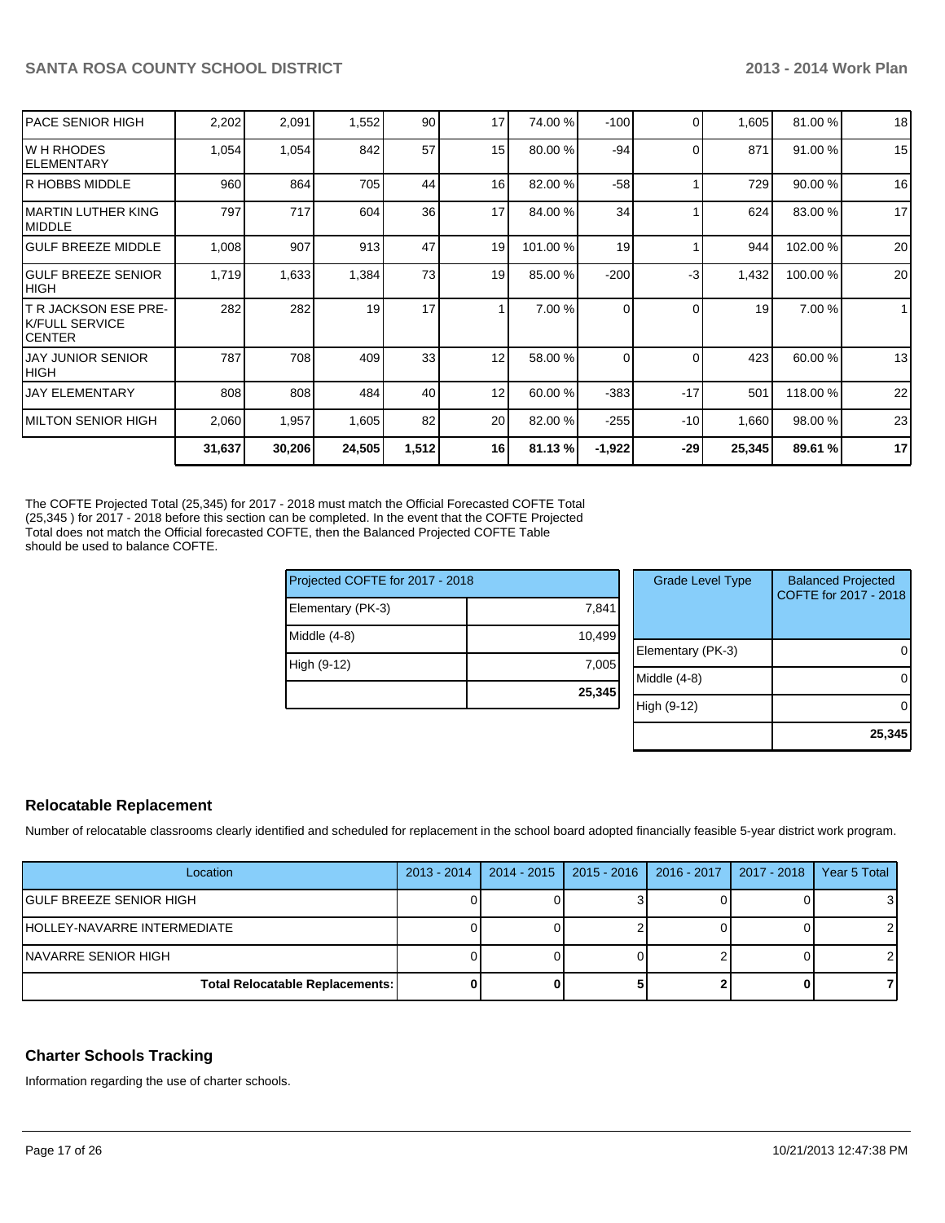| IPACE SENIOR HIGH                                         | 2,202  | 2,091  | 1,552  | 90    | 17 | 74.00 %  | $-100$   | $\Omega$ | 1,605  | 81.00%   | 18           |
|-----------------------------------------------------------|--------|--------|--------|-------|----|----------|----------|----------|--------|----------|--------------|
| IW H RHODES<br>IELEMENTARY                                | 1,054  | 1,054  | 842    | 57    | 15 | 80.00 %  | $-94$    | $\Omega$ | 871    | 91.00 %  | 15           |
| IR HOBBS MIDDLE                                           | 960    | 864    | 705    | 44    | 16 | 82.00 %  | $-58$    |          | 729    | 90.00 %  | 16           |
| IMARTIN LUTHER KING<br><b>IMIDDLE</b>                     | 797    | 717    | 604    | 36    | 17 | 84.00 %  | 34       |          | 624    | 83.00 %  | 17           |
| <b>IGULF BREEZE MIDDLE</b>                                | 1,008  | 907    | 913    | 47    | 19 | 101.00 % | 19       |          | 944    | 102.00%  | 20           |
| <b>IGULF BREEZE SENIOR</b><br>Ініgн                       | 1,719  | 1,633  | 1,384  | 73    | 19 | 85.00 %  | $-200$   | -3       | 1,432  | 100.00 % | 20           |
| T R JACKSON ESE PRE-<br><b>IK/FULL SERVICE</b><br>ICENTER | 282    | 282    | 19     | 17    |    | 7.00 %   | $\Omega$ | $\Omega$ | 19     | 7.00 %   | $\mathbf{1}$ |
| <b>JAY JUNIOR SENIOR</b><br> HIGH                         | 787    | 708    | 409    | 33    | 12 | 58.00 %  | $\Omega$ | $\Omega$ | 423    | 60.00 %  | 13           |
| <b>JAY ELEMENTARY</b>                                     | 808    | 808    | 484    | 40    | 12 | 60.00 %  | $-383$   | $-17$    | 501    | 118.00%  | 22           |
| IMILTON SENIOR HIGH                                       | 2,060  | 1,957  | 1,605  | 82    | 20 | 82.00 %  | $-255$   | $-10$    | 1,660  | 98.00 %  | 23           |
|                                                           | 31,637 | 30,206 | 24,505 | 1,512 | 16 | 81.13%   | $-1,922$ | -29      | 25,345 | 89.61 %  | 17           |
|                                                           |        |        |        |       |    |          |          |          |        |          |              |

The COFTE Projected Total (25,345) for 2017 - 2018 must match the Official Forecasted COFTE Total (25,345 ) for 2017 - 2018 before this section can be completed. In the event that the COFTE Projected Total does not match the Official forecasted COFTE, then the Balanced Projected COFTE Table should be used to balance COFTE.

| Projected COFTE for 2017 - 2018 |        | <b>Grade Level Type</b> | <b>Balanced Projected</b><br>COFTE for 2017 - 2018 |
|---------------------------------|--------|-------------------------|----------------------------------------------------|
| Elementary (PK-3)               | 7,841  |                         |                                                    |
| Middle (4-8)                    | 10.499 |                         |                                                    |
|                                 |        | Elementary (PK-3)       | 0                                                  |
| High (9-12)                     | 7,005  |                         |                                                    |
|                                 |        | Middle (4-8)            | $\Omega$                                           |
|                                 | 25,345 |                         |                                                    |
|                                 |        | High (9-12)             | $\Omega$                                           |
|                                 |        |                         |                                                    |
|                                 |        |                         | 25.345                                             |

#### **Relocatable Replacement**

Number of relocatable classrooms clearly identified and scheduled for replacement in the school board adopted financially feasible 5-year district work program.

| Location                               | $2013 - 2014$ | $2014 - 2015$ | │ 2015 - 2016 │ 2016 - 2017 │ 2017 - 2018 | Year 5 Total |
|----------------------------------------|---------------|---------------|-------------------------------------------|--------------|
| <b>IGULF BREEZE SENIOR HIGH</b>        |               |               |                                           | 31           |
| <b>HOLLEY-NAVARRE INTERMEDIATE</b>     |               |               |                                           |              |
| INAVARRE SENIOR HIGH                   |               |               |                                           |              |
| <b>Total Relocatable Replacements:</b> |               |               |                                           |              |

#### **Charter Schools Tracking**

Information regarding the use of charter schools.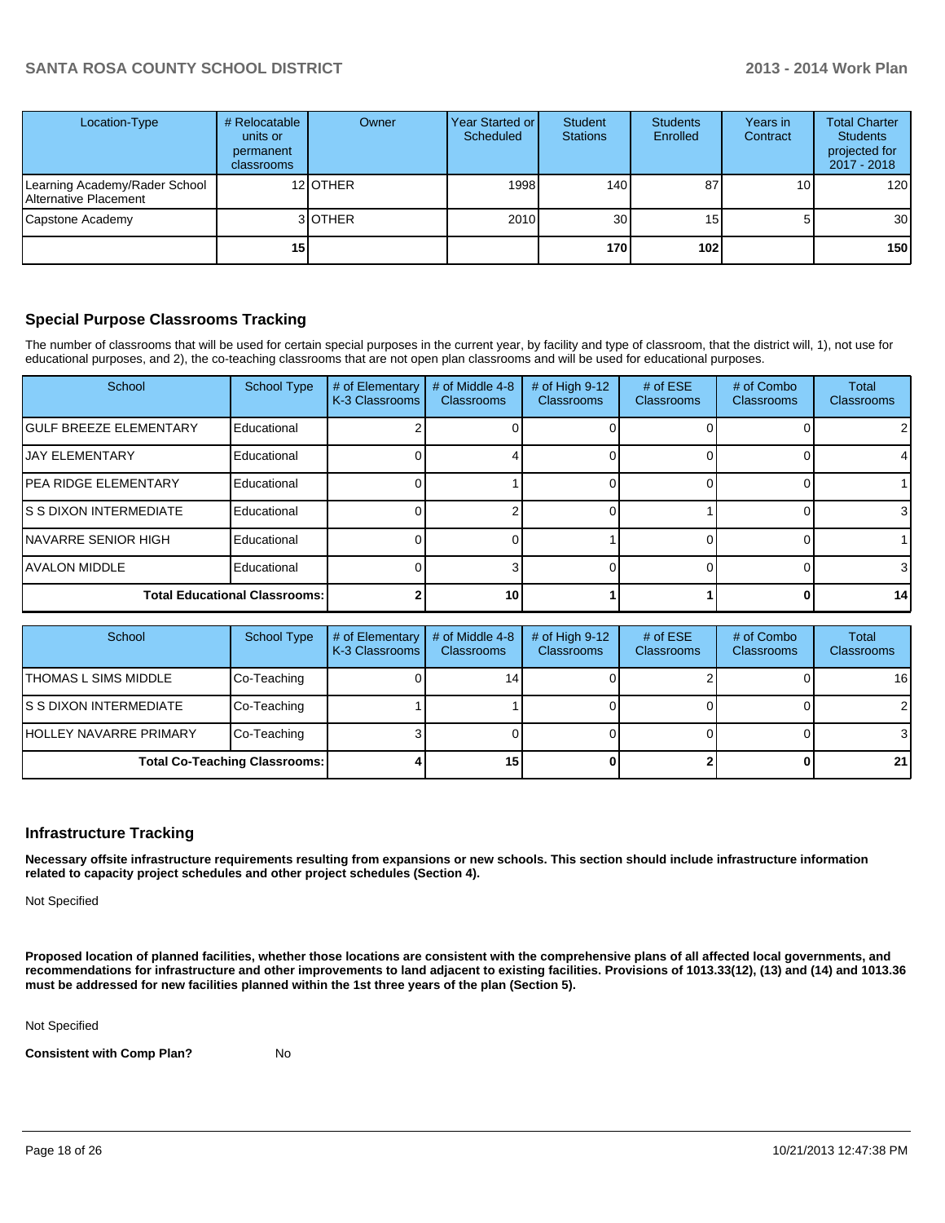| Location-Type                                          | # Relocatable<br>units or<br>permanent<br><b>classrooms</b> | Owner    | Year Started or<br>Scheduled | Student<br><b>Stations</b> | <b>Students</b><br>Enrolled | Years in<br>Contract | <b>Total Charter</b><br><b>Students</b><br>projected for<br>$2017 - 2018$ |
|--------------------------------------------------------|-------------------------------------------------------------|----------|------------------------------|----------------------------|-----------------------------|----------------------|---------------------------------------------------------------------------|
| Learning Academy/Rader School<br>Alternative Placement |                                                             | 12 OTHER | 1998                         | 140                        | 87                          | 10 <sub>1</sub>      | 120                                                                       |
| Capstone Academy                                       |                                                             | 3 OTHER  | 2010                         | 30 <sub>l</sub>            | 15 <sub>1</sub>             | 5                    | 30 <sup>1</sup>                                                           |
|                                                        | 15 <sub>1</sub>                                             |          |                              | 170                        | 102                         |                      | 150 <sub>l</sub>                                                          |

#### **Special Purpose Classrooms Tracking**

The number of classrooms that will be used for certain special purposes in the current year, by facility and type of classroom, that the district will, 1), not use for educational purposes, and 2), the co-teaching classrooms that are not open plan classrooms and will be used for educational purposes.

| School                               | <b>School Type</b> | # of Elementary<br>K-3 Classrooms | # of Middle 4-8<br><b>Classrooms</b> | # of High 9-12<br>Classrooms | # of $ESE$<br><b>Classrooms</b> | # of Combo<br><b>Classrooms</b> | Total<br>Classrooms |
|--------------------------------------|--------------------|-----------------------------------|--------------------------------------|------------------------------|---------------------------------|---------------------------------|---------------------|
| <b>IGULF BREEZE ELEMENTARY</b>       | Educational        |                                   |                                      |                              |                                 |                                 | $\overline{2}$      |
| <b>IJAY ELEMENTARY</b>               | Educational        |                                   |                                      |                              |                                 |                                 |                     |
| <b>IPEA RIDGE ELEMENTARY</b>         | Educational        |                                   |                                      |                              |                                 |                                 |                     |
| IS S DIXON INTERMEDIATE              | Educational        |                                   |                                      |                              |                                 |                                 | $\mathbf{3}$        |
| INAVARRE SENIOR HIGH                 | Educational        |                                   |                                      |                              |                                 |                                 |                     |
| <b>JAVALON MIDDLE</b>                | Educational        |                                   |                                      |                              |                                 |                                 | 3                   |
| <b>Total Educational Classrooms:</b> |                    |                                   | 10                                   |                              |                                 |                                 | 14                  |

| School                         | School Type                          | # of Elementary<br>K-3 Classrooms | # of Middle 4-8<br><b>Classrooms</b> | # of High $9-12$<br><b>Classrooms</b> | # of $ESE$<br><b>Classrooms</b> | # of Combo<br><b>Classrooms</b> | <b>Total</b><br><b>Classrooms</b> |
|--------------------------------|--------------------------------------|-----------------------------------|--------------------------------------|---------------------------------------|---------------------------------|---------------------------------|-----------------------------------|
| <b>ITHOMAS L SIMS MIDDLE</b>   | Co-Teaching                          |                                   | 14                                   |                                       |                                 |                                 | 16                                |
| IS S DIXON INTERMEDIATE        | Co-Teaching                          |                                   |                                      |                                       |                                 |                                 | $\overline{2}$                    |
| <b>IHOLLEY NAVARRE PRIMARY</b> | Co-Teaching                          |                                   |                                      |                                       |                                 |                                 | 3                                 |
|                                | <b>Total Co-Teaching Classrooms:</b> |                                   | 15                                   |                                       |                                 |                                 | 21                                |

#### **Infrastructure Tracking**

**Necessary offsite infrastructure requirements resulting from expansions or new schools. This section should include infrastructure information related to capacity project schedules and other project schedules (Section 4).**

Not Specified

**Proposed location of planned facilities, whether those locations are consistent with the comprehensive plans of all affected local governments, and recommendations for infrastructure and other improvements to land adjacent to existing facilities. Provisions of 1013.33(12), (13) and (14) and 1013.36 must be addressed for new facilities planned within the 1st three years of the plan (Section 5).**

Not Specified

**Consistent with Comp Plan?** No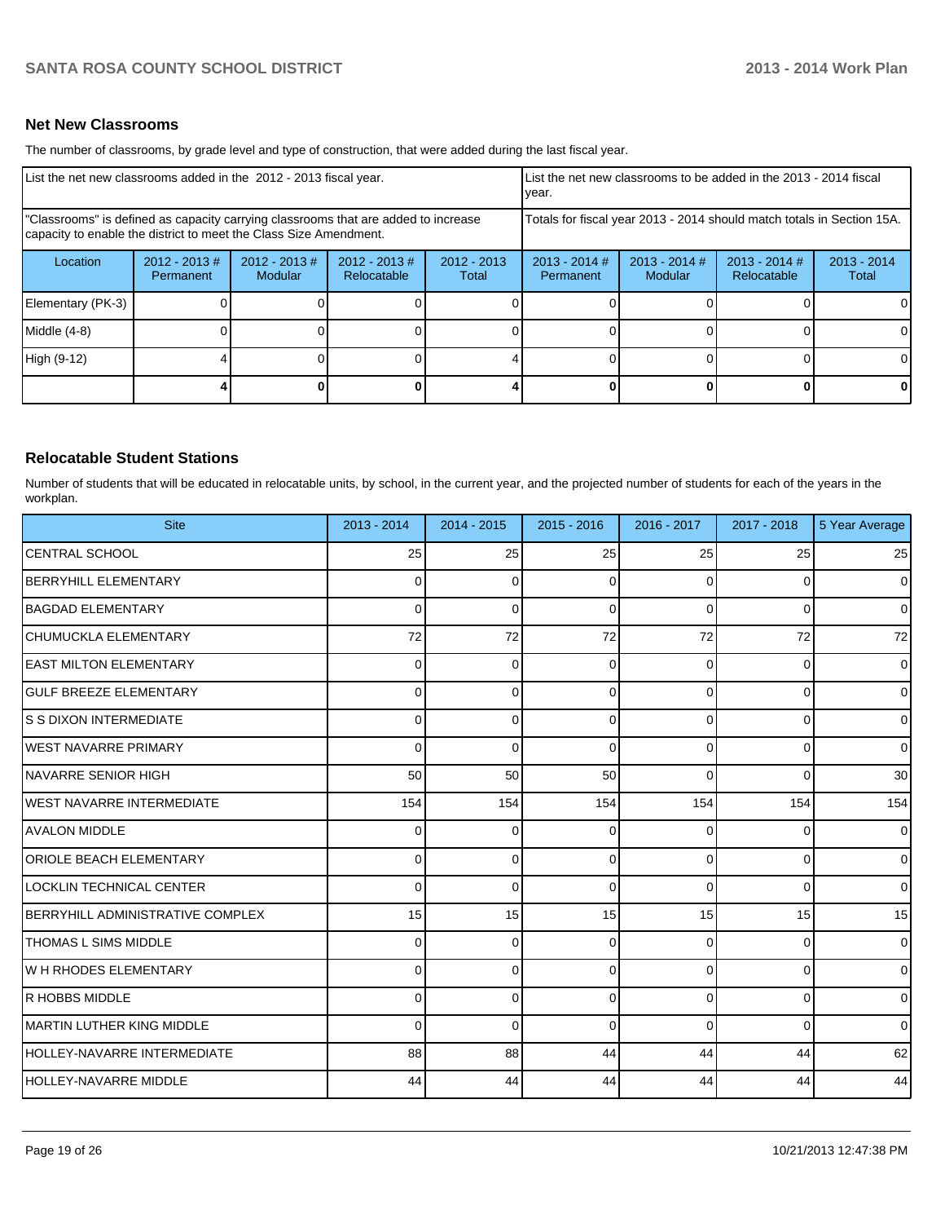#### **Net New Classrooms**

The number of classrooms, by grade level and type of construction, that were added during the last fiscal year.

| List the net new classrooms added in the 2012 - 2013 fiscal year.                                                                                       |                                                                                                                                |  |  |  | List the net new classrooms to be added in the 2013 - 2014 fiscal<br>vear. |                            |                                |                        |  |
|---------------------------------------------------------------------------------------------------------------------------------------------------------|--------------------------------------------------------------------------------------------------------------------------------|--|--|--|----------------------------------------------------------------------------|----------------------------|--------------------------------|------------------------|--|
| "Classrooms" is defined as capacity carrying classrooms that are added to increase<br>capacity to enable the district to meet the Class Size Amendment. |                                                                                                                                |  |  |  | Totals for fiscal year 2013 - 2014 should match totals in Section 15A.     |                            |                                |                        |  |
| Location                                                                                                                                                | $2012 - 2013$ #<br>$2012 - 2013$ #<br>$2012 - 2013 \#$<br>$2012 - 2013$<br><b>Modular</b><br>Relocatable<br>Total<br>Permanent |  |  |  | $2013 - 2014$ #<br>Permanent                                               | $2013 - 2014$ #<br>Modular | $2013 - 2014$ #<br>Relocatable | $2013 - 2014$<br>Total |  |
| Elementary (PK-3)                                                                                                                                       |                                                                                                                                |  |  |  |                                                                            |                            |                                |                        |  |
| Middle (4-8)                                                                                                                                            |                                                                                                                                |  |  |  |                                                                            |                            |                                |                        |  |
| High (9-12)                                                                                                                                             |                                                                                                                                |  |  |  |                                                                            |                            |                                |                        |  |
|                                                                                                                                                         |                                                                                                                                |  |  |  |                                                                            |                            |                                | 0                      |  |

#### **Relocatable Student Stations**

Number of students that will be educated in relocatable units, by school, in the current year, and the projected number of students for each of the years in the workplan.

| <b>Site</b>                        | 2013 - 2014 | 2014 - 2015 | $2015 - 2016$ | 2016 - 2017    | 2017 - 2018 | 5 Year Average |
|------------------------------------|-------------|-------------|---------------|----------------|-------------|----------------|
| <b>CENTRAL SCHOOL</b>              | 25          | 25          | 25            | 25             | 25          | 25             |
| <b>BERRYHILL ELEMENTARY</b>        | $\Omega$    | $\Omega$    | 0             | 0              | 0           | $\overline{0}$ |
| <b>BAGDAD ELEMENTARY</b>           | 0           | 0           | 0             | $\Omega$       | 0           | $\overline{0}$ |
| CHUMUCKLA ELEMENTARY               | 72          | 72          | 72            | 72             | 72          | 72             |
| <b>EAST MILTON ELEMENTARY</b>      | 0           | $\Omega$    | 0             | 0              | $\Omega$    | $\overline{0}$ |
| <b>GULF BREEZE ELEMENTARY</b>      | 0           | 0           | $\Omega$      | $\Omega$       | 0           | $\overline{0}$ |
| IS S DIXON INTERMEDIATE            | 0           | $\Omega$    | 0             | $\Omega$       | 0           | $\overline{0}$ |
| <b>IWEST NAVARRE PRIMARY</b>       | $\Omega$    | $\Omega$    | 0             | $\Omega$       | 0           | $\overline{0}$ |
| INAVARRE SENIOR HIGH               | 50          | 50          | 50            | $\Omega$       | $\Omega$    | 30             |
| <b>IWEST NAVARRE INTERMEDIATE</b>  | 154         | 154         | 154           | 154            | 154         | 154            |
| AVALON MIDDLE                      | 0           | $\Omega$    | 0             | 0              | 0           | $\overline{0}$ |
| <b>ORIOLE BEACH ELEMENTARY</b>     | 0           | $\Omega$    | $\Omega$      | $\Omega$       | $\Omega$    | $\overline{0}$ |
| LOCKLIN TECHNICAL CENTER           | 0           | $\mathbf 0$ | $\Omega$      | $\overline{0}$ | 0           | $\overline{0}$ |
| BERRYHILL ADMINISTRATIVE COMPLEX   | 15          | 15          | 15            | 15             | 15          | 15             |
| <b>THOMAS L SIMS MIDDLE</b>        | 0           | $\Omega$    | 0             | $\Omega$       | $\Omega$    | $\overline{0}$ |
| W H RHODES ELEMENTARY              | $\Omega$    | $\Omega$    | $\Omega$      | $\Omega$       | $\Omega$    | $\overline{0}$ |
| R HOBBS MIDDLE                     | 0           | $\Omega$    | 0             | $\Omega$       | 0           | $\overline{0}$ |
| <b>IMARTIN LUTHER KING MIDDLE</b>  | 0           | $\Omega$    | $\Omega$      | $\Omega$       | $\Omega$    | $\overline{0}$ |
| <b>HOLLEY-NAVARRE INTERMEDIATE</b> | 88          | 88          | 44            | 44             | 44          | 62             |
| HOLLEY-NAVARRE MIDDLE              | 44          | 44          | 44            | 44             | 44          | 44             |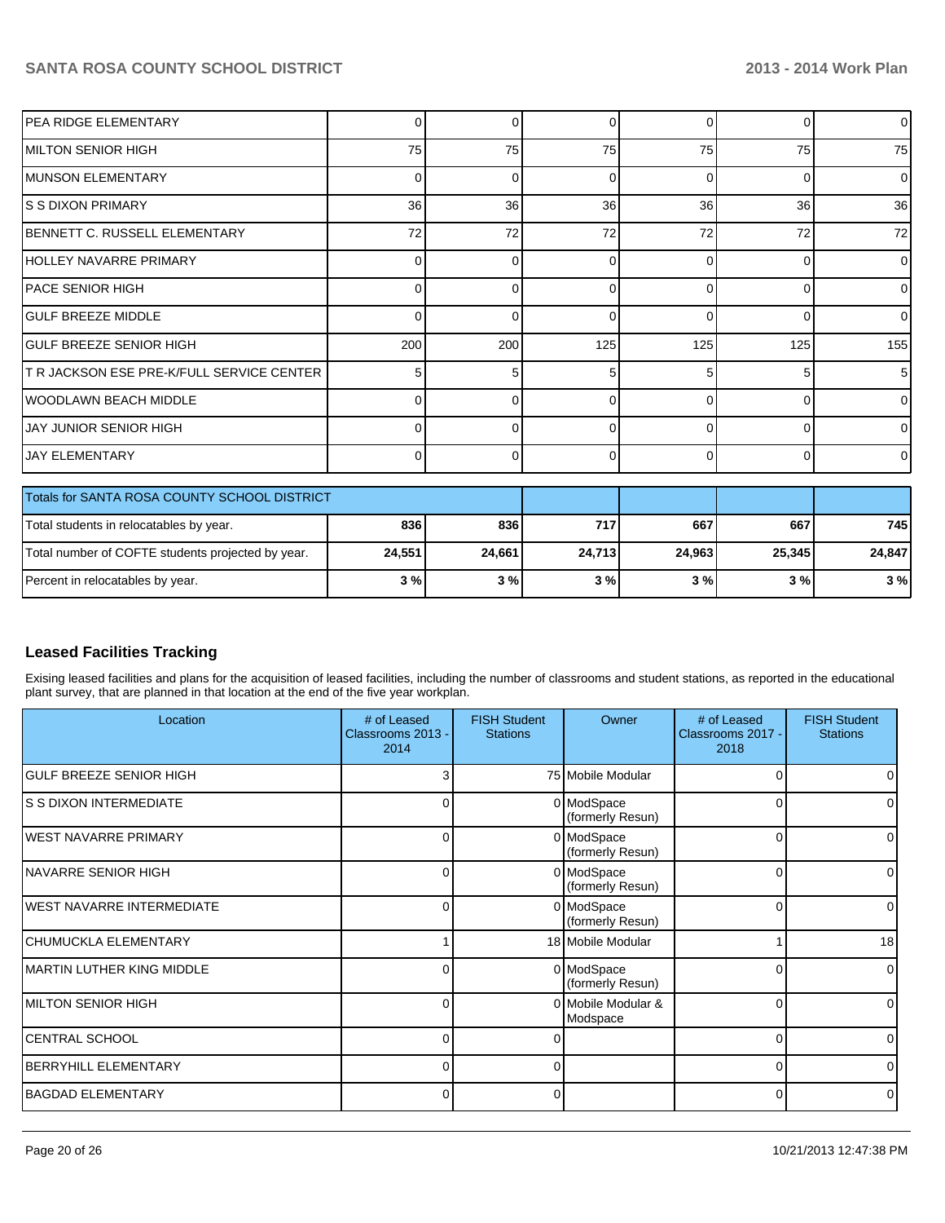| Percent in relocatables by year.                  | 3%       | 3%       | 3%     | 3%       | 3%       | 3%              |
|---------------------------------------------------|----------|----------|--------|----------|----------|-----------------|
| Total number of COFTE students projected by year. | 24,551   | 24,661   | 24,713 | 24,963   | 25,345   | 24,847          |
| Total students in relocatables by year.           | 836      | 836      | 717    | 667      | 667      | 745             |
| Totals for SANTA ROSA COUNTY SCHOOL DISTRICT      |          |          |        |          |          |                 |
| <b>JAY ELEMENTARY</b>                             | $\Omega$ | $\Omega$ | 0      | $\Omega$ | $\Omega$ | $\overline{0}$  |
| <b>JAY JUNIOR SENIOR HIGH</b>                     | 0        | $\Omega$ | 0      | $\Omega$ | $\Omega$ | $\overline{0}$  |
| IWOODLAWN BEACH MIDDLE                            | 0        | $\Omega$ |        | $\Omega$ | $\Omega$ | $\Omega$        |
| <b>T R JACKSON ESE PRE-K/FULL SERVICE CENTER</b>  | 5        | 5        | 5      | 5        | 5        | 5               |
| IGULF BREEZE SENIOR HIGH                          | 200      | 200      | 125    | 125      | 125      | 155             |
| <b>I</b> GULF BREEZE MIDDLE                       | 0        | $\Omega$ | 0      | $\Omega$ | $\Omega$ | $\overline{0}$  |
| IPACE SENIOR HIGH                                 | $\Omega$ | $\Omega$ | 0      | $\Omega$ | $\Omega$ | $\overline{0}$  |
| HOLLEY NAVARRE PRIMARY                            | 0        | 0        | ŋ      | $\Omega$ | $\Omega$ | $\overline{0}$  |
| BENNETT C. RUSSELL ELEMENTARY                     | 72       | 72       | 72     | 72       | 72       | 72              |
| IS S DIXON PRIMARY                                | 36       | 36       | 36     | 36       | 36       | 36 <sup>1</sup> |
| IMUNSON ELEMENTARY                                | 0        | $\Omega$ | 0      | $\Omega$ | $\Omega$ | $\Omega$        |
| IMILTON SENIOR HIGH                               | 75       | 75       | 75     | 75       | 75       | 75              |
| PEA RIDGE ELEMENTARY                              | $\Omega$ | 0        | 0      | 0        | $\Omega$ | $\overline{0}$  |

## **Leased Facilities Tracking**

Exising leased facilities and plans for the acquisition of leased facilities, including the number of classrooms and student stations, as reported in the educational plant survey, that are planned in that location at the end of the five year workplan.

| Location                          | # of Leased<br>Classrooms 2013 -<br>2014 | <b>FISH Student</b><br><b>Stations</b> | Owner                          | # of Leased<br>Classrooms 2017 -<br>2018 | <b>FISH Student</b><br><b>Stations</b> |
|-----------------------------------|------------------------------------------|----------------------------------------|--------------------------------|------------------------------------------|----------------------------------------|
| <b>GULF BREEZE SENIOR HIGH</b>    | 3                                        |                                        | 75 Mobile Modular              |                                          |                                        |
| IS S DIXON INTERMEDIATE           | 0                                        |                                        | 0 ModSpace<br>(formerly Resun) | U                                        |                                        |
| <b>IWEST NAVARRE PRIMARY</b>      | 0                                        |                                        | 0 ModSpace<br>(formerly Resun) | $\Omega$                                 | 0                                      |
| NAVARRE SENIOR HIGH               | 0                                        |                                        | 0 ModSpace<br>(formerly Resun) | 0                                        |                                        |
| WEST NAVARRE INTERMEDIATE         | 0                                        |                                        | 0 ModSpace<br>(formerly Resun) | 0                                        | <sup>0</sup>                           |
| CHUMUCKLA ELEMENTARY              |                                          |                                        | 18 Mobile Modular              |                                          | 18                                     |
| <b>IMARTIN LUTHER KING MIDDLE</b> | 0                                        |                                        | 0 ModSpace<br>(formerly Resun) | U                                        | $\Omega$                               |
| IMILTON SENIOR HIGH               | 0                                        |                                        | 0 Mobile Modular &<br>Modspace | 0                                        | <sup>0</sup>                           |
| CENTRAL SCHOOL                    | U                                        |                                        |                                | <sup>0</sup>                             | 0                                      |
| <b>BERRYHILL ELEMENTARY</b>       | $\Omega$                                 | 0                                      |                                | $\Omega$                                 | $\Omega$                               |
| BAGDAD ELEMENTARY                 | 0                                        | 0                                      |                                | $\Omega$                                 | $\Omega$                               |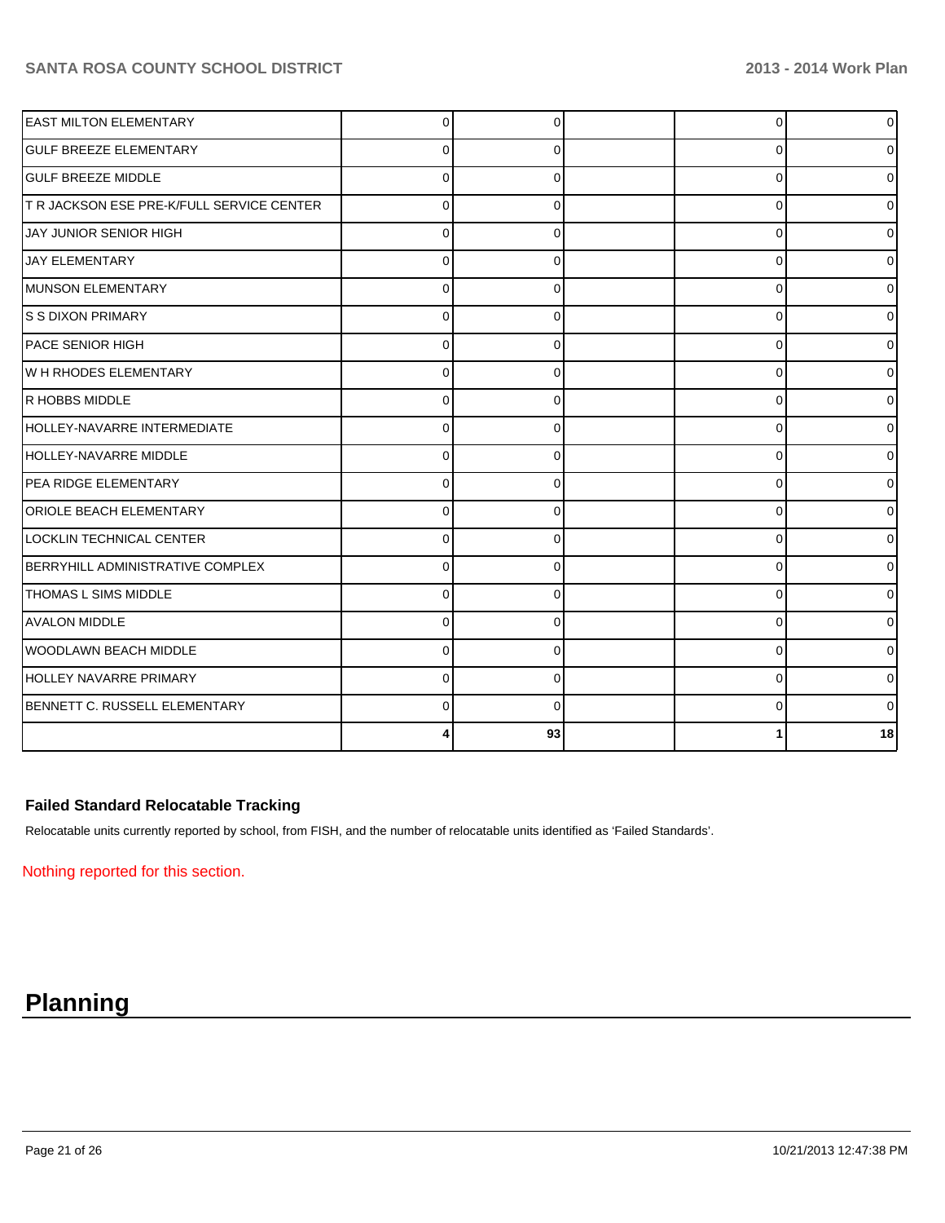| <b>EAST MILTON ELEMENTARY</b>             | $\Omega$ | $\Omega$ | 0        | $\overline{0}$ |
|-------------------------------------------|----------|----------|----------|----------------|
| <b>IGULF BREEZE ELEMENTARY</b>            | 0        | 0        | 0        | 0              |
| <b>GULF BREEZE MIDDLE</b>                 | $\Omega$ | $\Omega$ | 0        | 0              |
| T R JACKSON ESE PRE-K/FULL SERVICE CENTER | $\Omega$ | 0        | 0        | 01             |
| JAY JUNIOR SENIOR HIGH                    | U        | O        | 0        | 0              |
| <b>JAY ELEMENTARY</b>                     |          |          | $\Omega$ | 0              |
| MUNSON ELEMENTARY                         | 0        | O        | 0        |                |
| IS S DIXON PRIMARY                        |          | 0        | 0        | 0              |
| <b>PACE SENIOR HIGH</b>                   | $\Omega$ |          | 0        | 0              |
| W H RHODES ELEMENTARY                     | 0        | 0        | 0        | 0              |
| <b>R HOBBS MIDDLE</b>                     | $\Omega$ | $\Omega$ | $\Omega$ | 0              |
| HOLLEY-NAVARRE INTERMEDIATE               | $\Omega$ | 0        | 0        | 01             |
| HOLLEY-NAVARRE MIDDLE                     | 0        | 0        | 0        | 01             |
| PEA RIDGE ELEMENTARY                      |          |          | $\Omega$ | $\overline{0}$ |
| <b>ORIOLE BEACH ELEMENTARY</b>            | $\Omega$ | O        | $\Omega$ | 0              |
| LOCKLIN TECHNICAL CENTER                  |          |          | $\Omega$ | 0              |
| BERRYHILL ADMINISTRATIVE COMPLEX          |          |          | U        | 01             |
| THOMAS L SIMS MIDDLE                      | ∩        |          | $\Omega$ | 01             |
| <b>AVALON MIDDLE</b>                      |          |          | $\Omega$ | 0l             |
| <b>WOODLAWN BEACH MIDDLE</b>              | $\Omega$ | $\Omega$ | $\Omega$ | $\overline{0}$ |
| <b>HOLLEY NAVARRE PRIMARY</b>             | U        | 0        | $\Omega$ | 01             |
| BENNETT C. RUSSELL ELEMENTARY             |          |          | ∩        | 0              |
|                                           |          | 93       |          | 18             |

## **Failed Standard Relocatable Tracking**

Relocatable units currently reported by school, from FISH, and the number of relocatable units identified as 'Failed Standards'.

Nothing reported for this section.

## **Planning**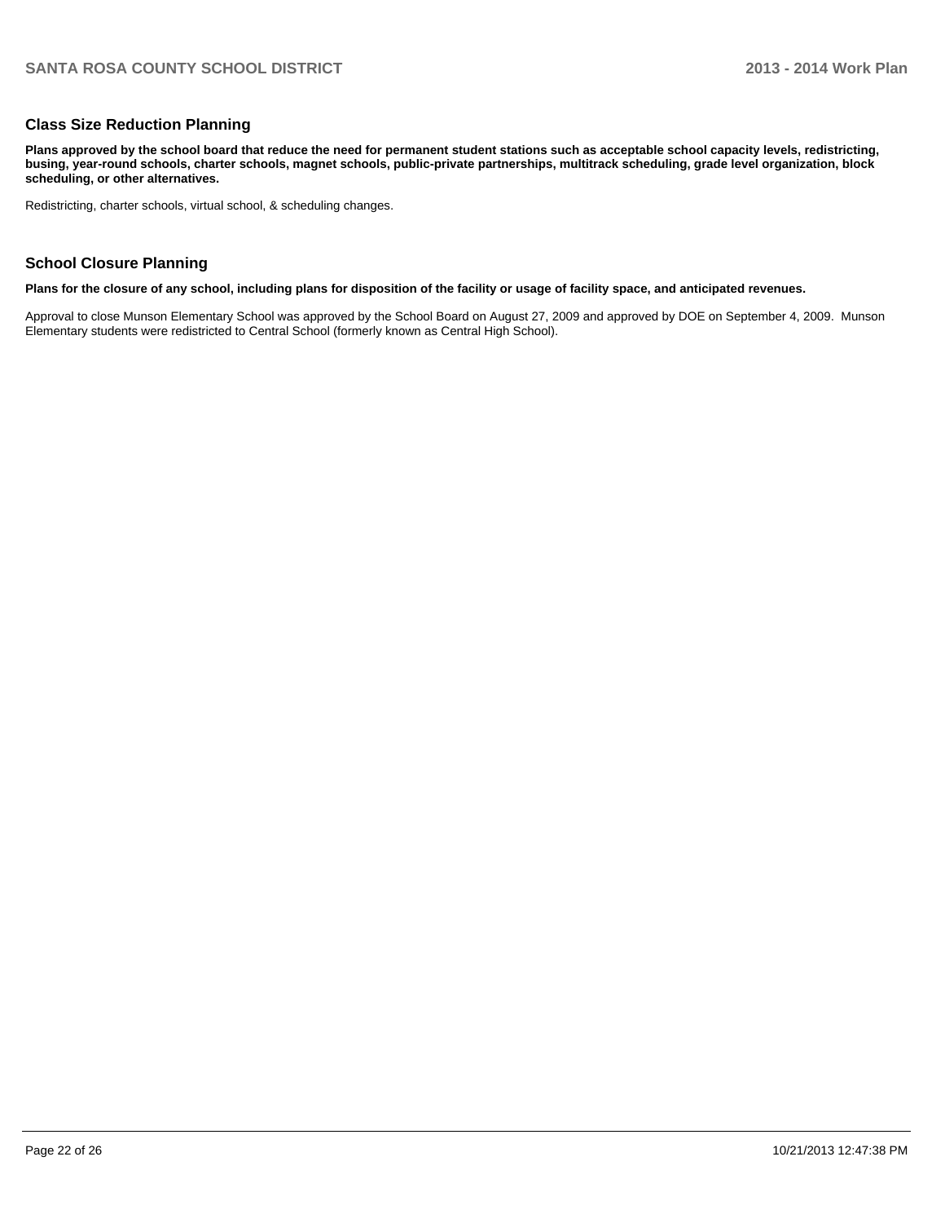#### **Class Size Reduction Planning**

**Plans approved by the school board that reduce the need for permanent student stations such as acceptable school capacity levels, redistricting, busing, year-round schools, charter schools, magnet schools, public-private partnerships, multitrack scheduling, grade level organization, block scheduling, or other alternatives.**

Redistricting, charter schools, virtual school, & scheduling changes.

#### **School Closure Planning**

**Plans for the closure of any school, including plans for disposition of the facility or usage of facility space, and anticipated revenues.**

Approval to close Munson Elementary School was approved by the School Board on August 27, 2009 and approved by DOE on September 4, 2009. Munson Elementary students were redistricted to Central School (formerly known as Central High School).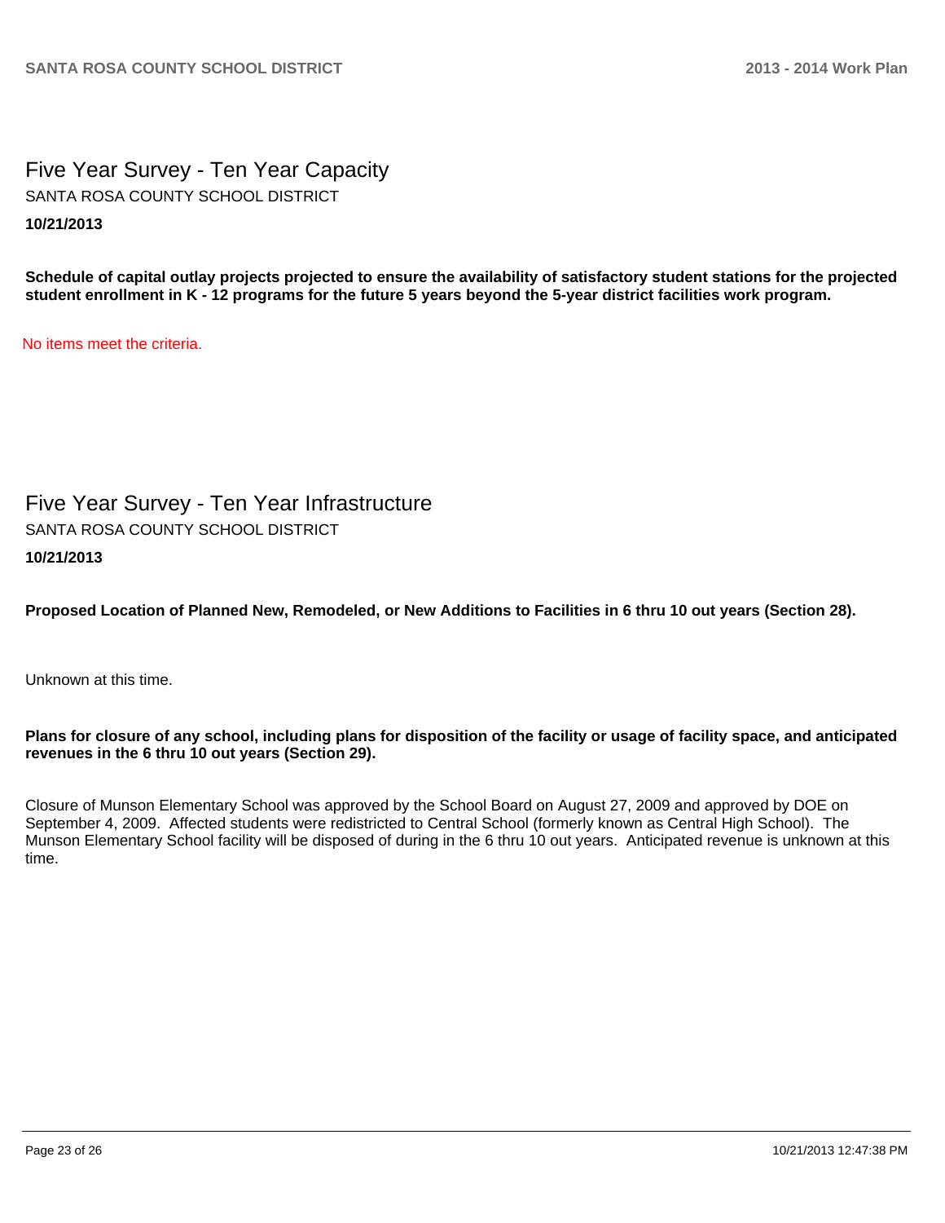Five Year Survey - Ten Year Capacity **10/21/2013** SANTA ROSA COUNTY SCHOOL DISTRICT

**Schedule of capital outlay projects projected to ensure the availability of satisfactory student stations for the projected student enrollment in K - 12 programs for the future 5 years beyond the 5-year district facilities work program.**

No items meet the criteria.

Five Year Survey - Ten Year Infrastructure **10/21/2013** SANTA ROSA COUNTY SCHOOL DISTRICT

**Proposed Location of Planned New, Remodeled, or New Additions to Facilities in 6 thru 10 out years (Section 28).**

Unknown at this time.

#### **Plans for closure of any school, including plans for disposition of the facility or usage of facility space, and anticipated revenues in the 6 thru 10 out years (Section 29).**

Closure of Munson Elementary School was approved by the School Board on August 27, 2009 and approved by DOE on September 4, 2009. Affected students were redistricted to Central School (formerly known as Central High School). The Munson Elementary School facility will be disposed of during in the 6 thru 10 out years. Anticipated revenue is unknown at this time.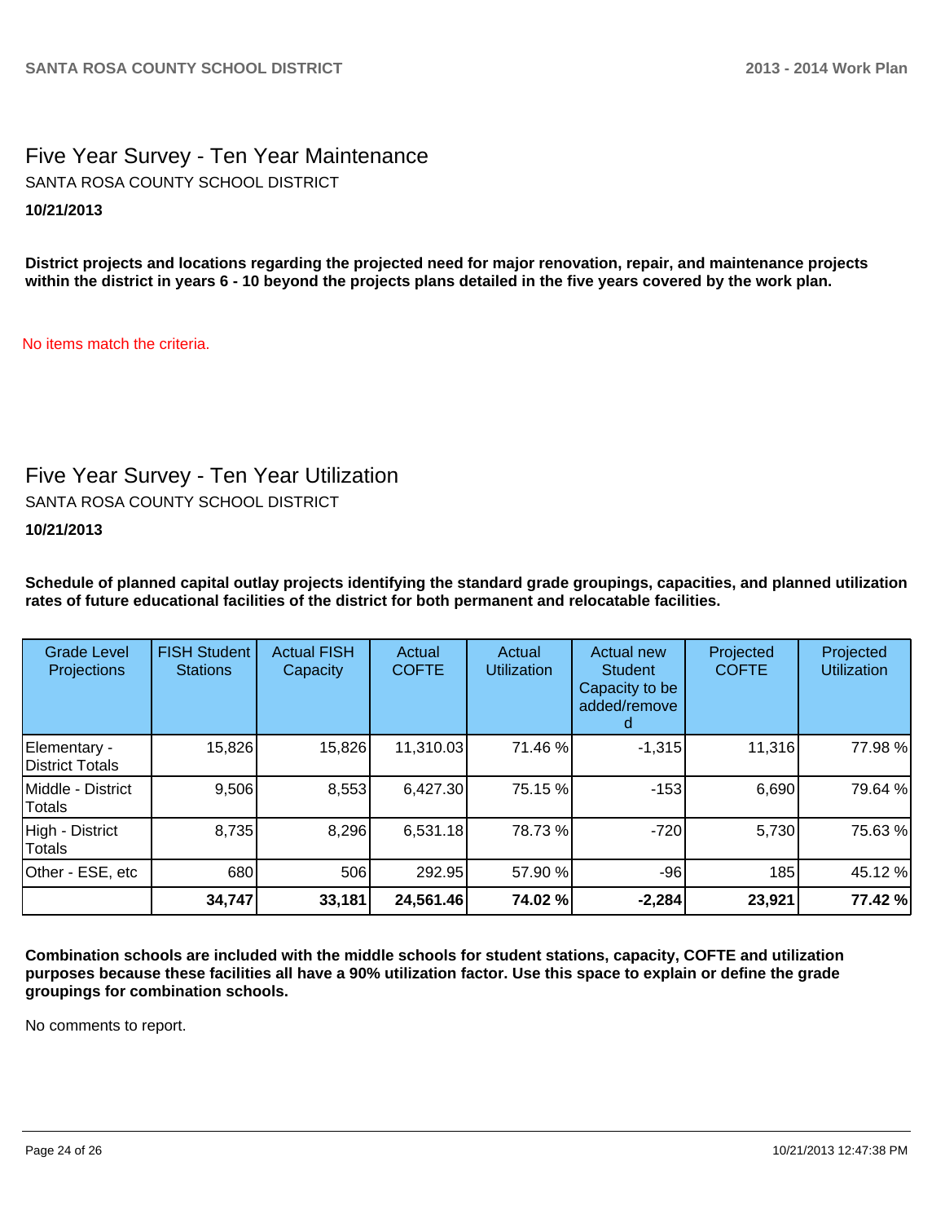Five Year Survey - Ten Year Maintenance **10/21/2013** SANTA ROSA COUNTY SCHOOL DISTRICT

**District projects and locations regarding the projected need for major renovation, repair, and maintenance projects within the district in years 6 - 10 beyond the projects plans detailed in the five years covered by the work plan.**

No items match the criteria.

## Five Year Survey - Ten Year Utilization

SANTA ROSA COUNTY SCHOOL DISTRICT

**10/21/2013**

**Schedule of planned capital outlay projects identifying the standard grade groupings, capacities, and planned utilization rates of future educational facilities of the district for both permanent and relocatable facilities.**

| <b>Grade Level</b><br>Projections | <b>FISH Student</b><br><b>Stations</b> | <b>Actual FISH</b><br>Capacity | Actual<br><b>COFTE</b> | Actual<br><b>Utilization</b> | Actual new<br><b>Student</b><br>Capacity to be<br>added/remove | Projected<br><b>COFTE</b> | Projected<br><b>Utilization</b> |
|-----------------------------------|----------------------------------------|--------------------------------|------------------------|------------------------------|----------------------------------------------------------------|---------------------------|---------------------------------|
| Elementary -<br>District Totals   | 15,826                                 | 15,826                         | 11,310.03              | 71.46 %                      | $-1,315$                                                       | 11,316                    | 77.98%                          |
| Middle - District<br>Totals       | 9,506                                  | 8,553                          | 6,427.30               | 75.15 %                      | $-153$                                                         | 6,690                     | 79.64 %                         |
| High - District<br>Totals         | 8,735                                  | 8,296                          | 6,531.18               | 78.73%                       | $-720$                                                         | 5,730                     | 75.63%                          |
| Other - ESE, etc                  | 680                                    | 506                            | 292.95                 | 57.90 %                      | $-96$                                                          | 185                       | 45.12 %                         |
|                                   | 34,747                                 | 33,181                         | 24,561.46              | 74.02 %                      | $-2,284$                                                       | 23,921                    | 77.42 %                         |

**Combination schools are included with the middle schools for student stations, capacity, COFTE and utilization purposes because these facilities all have a 90% utilization factor. Use this space to explain or define the grade groupings for combination schools.**

No comments to report.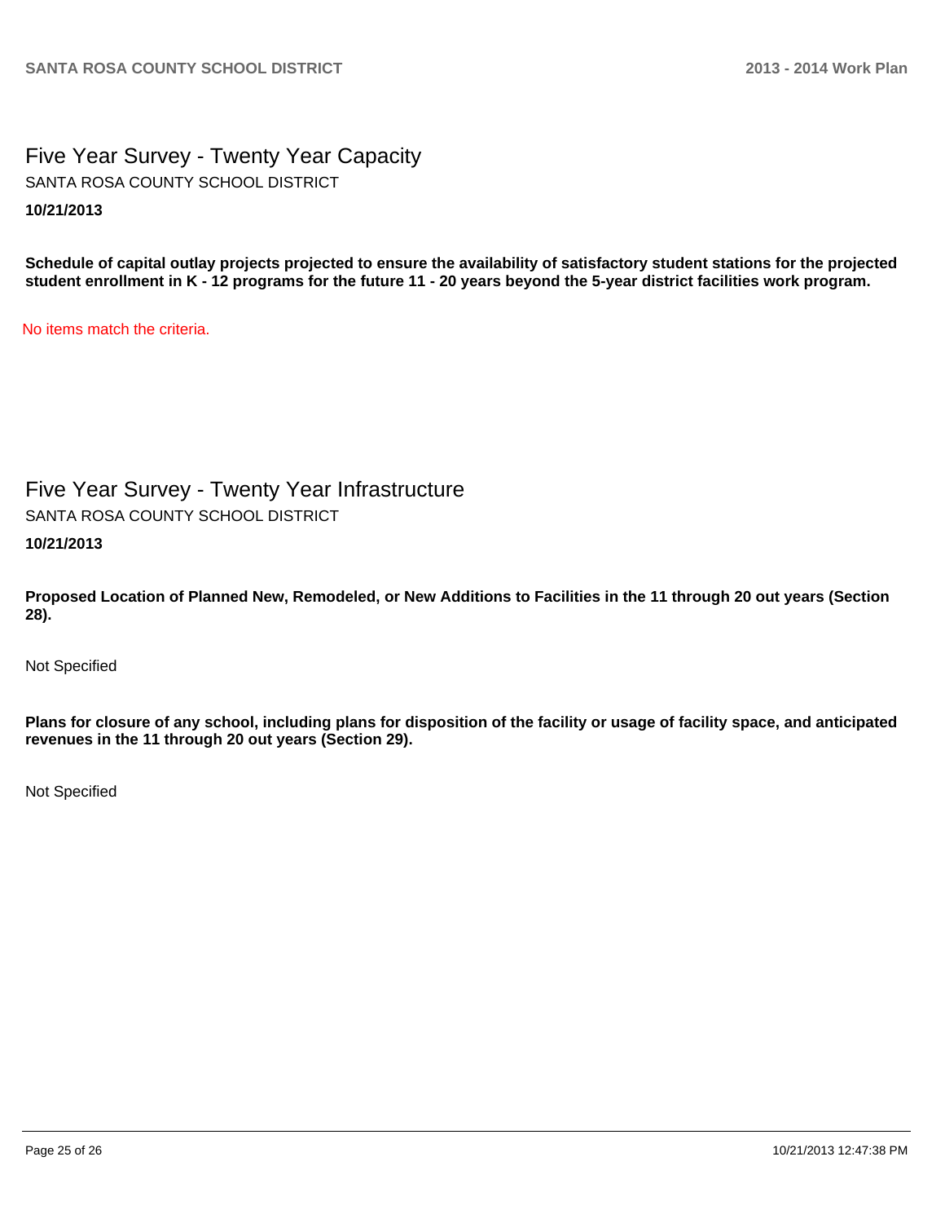Five Year Survey - Twenty Year Capacity **10/21/2013** SANTA ROSA COUNTY SCHOOL DISTRICT

**Schedule of capital outlay projects projected to ensure the availability of satisfactory student stations for the projected student enrollment in K - 12 programs for the future 11 - 20 years beyond the 5-year district facilities work program.**

No items match the criteria.

Five Year Survey - Twenty Year Infrastructure

SANTA ROSA COUNTY SCHOOL DISTRICT

**10/21/2013**

**Proposed Location of Planned New, Remodeled, or New Additions to Facilities in the 11 through 20 out years (Section 28).**

Not Specified

**Plans for closure of any school, including plans for disposition of the facility or usage of facility space, and anticipated revenues in the 11 through 20 out years (Section 29).**

Not Specified